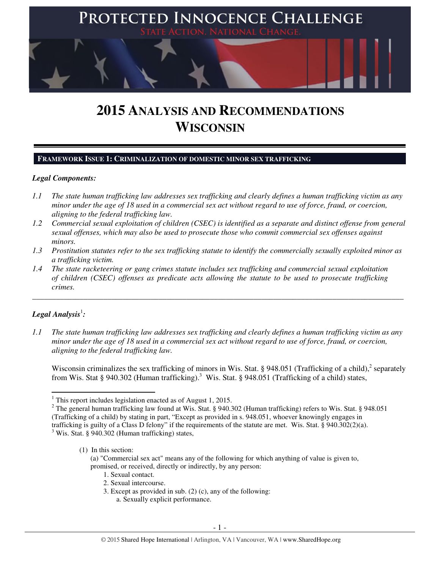

# **2015 ANALYSIS AND RECOMMENDATIONS WISCONSIN**

## **FRAMEWORK ISSUE 1: CRIMINALIZATION OF DOMESTIC MINOR SEX TRAFFICKING**

## *Legal Components:*

- *1.1 The state human trafficking law addresses sex trafficking and clearly defines a human trafficking victim as any minor under the age of 18 used in a commercial sex act without regard to use of force, fraud, or coercion, aligning to the federal trafficking law.*
- *1.2 Commercial sexual exploitation of children (CSEC) is identified as a separate and distinct offense from general sexual offenses, which may also be used to prosecute those who commit commercial sex offenses against minors.*
- *1.3 Prostitution statutes refer to the sex trafficking statute to identify the commercially sexually exploited minor as a trafficking victim.*
- *1.4 The state racketeering or gang crimes statute includes sex trafficking and commercial sexual exploitation of children (CSEC) offenses as predicate acts allowing the statute to be used to prosecute trafficking crimes.*

# $\bm{\mathit{Legal\, Analysis}^{\text{!}}:}$

l

*1.1 The state human trafficking law addresses sex trafficking and clearly defines a human trafficking victim as any minor under the age of 18 used in a commercial sex act without regard to use of force, fraud, or coercion, aligning to the federal trafficking law.* 

\_\_\_\_\_\_\_\_\_\_\_\_\_\_\_\_\_\_\_\_\_\_\_\_\_\_\_\_\_\_\_\_\_\_\_\_\_\_\_\_\_\_\_\_\_\_\_\_\_\_\_\_\_\_\_\_\_\_\_\_\_\_\_\_\_\_\_\_\_\_\_\_\_\_\_\_\_\_\_\_\_\_\_\_\_\_\_\_\_\_\_\_\_\_

Wisconsin criminalizes the sex trafficking of minors in Wis. Stat. § 948.051 (Trafficking of a child), $^2$  separately from Wis. Stat § 940.302 (Human trafficking).<sup>3</sup> Wis. Stat. § 948.051 (Trafficking of a child) states,

(1) In this section:

- 1. Sexual contact.
- 2. Sexual intercourse.
- 3. Except as provided in sub. (2) (c), any of the following:
	- a. Sexually explicit performance.

<sup>&</sup>lt;sup>1</sup> This report includes legislation enacted as of August 1, 2015.

<sup>&</sup>lt;sup>2</sup> The general human trafficking law found at Wis. Stat. § 940.302 (Human trafficking) refers to Wis. Stat. § 948.051 (Trafficking of a child) by stating in part, "Except as provided in s. 948.051, whoever knowingly engages in trafficking is guilty of a Class D felony" if the requirements of the statute are met. Wis. Stat. § 940.302(2)(a).

<sup>&</sup>lt;sup>3</sup> Wis. Stat. § 940.302 (Human trafficking) states,

<sup>(</sup>a) "Commercial sex act" means any of the following for which anything of value is given to, promised, or received, directly or indirectly, by any person: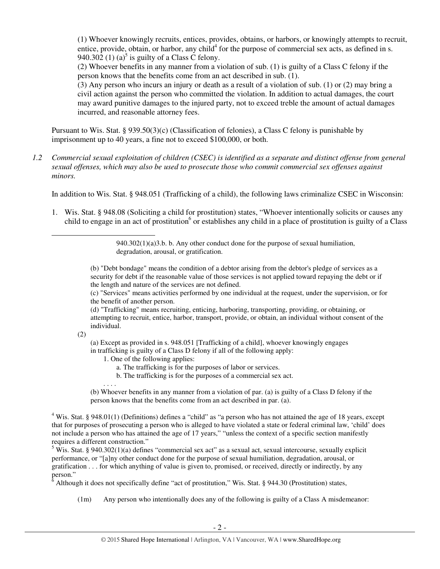(1) Whoever knowingly recruits, entices, provides, obtains, or harbors, or knowingly attempts to recruit, entice, provide, obtain, or harbor, any child<sup>4</sup> for the purpose of commercial sex acts, as defined in s. 940.302 (1) (a)<sup>5</sup> is guilty of a Class C felony.

(2) Whoever benefits in any manner from a violation of sub. (1) is guilty of a Class C felony if the person knows that the benefits come from an act described in sub. (1).

(3) Any person who incurs an injury or death as a result of a violation of sub. (1) or (2) may bring a civil action against the person who committed the violation. In addition to actual damages, the court may award punitive damages to the injured party, not to exceed treble the amount of actual damages incurred, and reasonable attorney fees.

Pursuant to Wis. Stat. § 939.50(3)(c) (Classification of felonies), a Class C felony is punishable by imprisonment up to 40 years, a fine not to exceed \$100,000, or both.

*1.2 Commercial sexual exploitation of children (CSEC) is identified as a separate and distinct offense from general sexual offenses, which may also be used to prosecute those who commit commercial sex offenses against minors.* 

In addition to Wis. Stat. § 948.051 (Trafficking of a child), the following laws criminalize CSEC in Wisconsin:

1. Wis. Stat. § 948.08 (Soliciting a child for prostitution) states, "Whoever intentionally solicits or causes any child to engage in an act of prostitution<sup>6</sup> or establishes any child in a place of prostitution is guilty of a Class

(b) "Debt bondage" means the condition of a debtor arising from the debtor's pledge of services as a security for debt if the reasonable value of those services is not applied toward repaying the debt or if the length and nature of the services are not defined.

(c) "Services" means activities performed by one individual at the request, under the supervision, or for the benefit of another person.

(d) "Trafficking" means recruiting, enticing, harboring, transporting, providing, or obtaining, or attempting to recruit, entice, harbor, transport, provide, or obtain, an individual without consent of the individual.

(2)

l

(a) Except as provided in s. 948.051 [Trafficking of a child], whoever knowingly engages in trafficking is guilty of a Class D felony if all of the following apply:

- 1. One of the following applies:
	- a. The trafficking is for the purposes of labor or services.
	- b. The trafficking is for the purposes of a commercial sex act.

. . . .

(b) Whoever benefits in any manner from a violation of par. (a) is guilty of a Class D felony if the person knows that the benefits come from an act described in par. (a).

<sup>4</sup> Wis. Stat. § 948.01(1) (Definitions) defines a "child" as "a person who has not attained the age of 18 years, except that for purposes of prosecuting a person who is alleged to have violated a state or federal criminal law, 'child' does not include a person who has attained the age of 17 years," "unless the context of a specific section manifestly requires a different construction."

<sup>5</sup> Wis. Stat. § 940.302(1)(a) defines "commercial sex act" as a sexual act, sexual intercourse, sexually explicit performance, or "[a]ny other conduct done for the purpose of sexual humiliation, degradation, arousal, or gratification . . . for which anything of value is given to, promised, or received, directly or indirectly, by any person."

 $\delta$  Although it does not specifically define "act of prostitution," Wis. Stat. § 944.30 (Prostitution) states,

(1m) Any person who intentionally does any of the following is guilty of a Class A misdemeanor:

<sup>940.302(1)(</sup>a)3.b. b. Any other conduct done for the purpose of sexual humiliation, degradation, arousal, or gratification.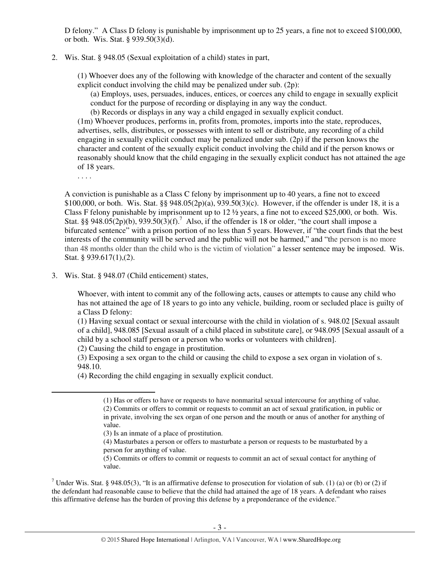D felony." A Class D felony is punishable by imprisonment up to 25 years, a fine not to exceed \$100,000, or both. Wis. Stat. § 939.50(3)(d).

2. Wis. Stat. § 948.05 (Sexual exploitation of a child) states in part,

(1) Whoever does any of the following with knowledge of the character and content of the sexually explicit conduct involving the child may be penalized under sub. (2p):

(a) Employs, uses, persuades, induces, entices, or coerces any child to engage in sexually explicit conduct for the purpose of recording or displaying in any way the conduct.

(b) Records or displays in any way a child engaged in sexually explicit conduct.

(1m) Whoever produces, performs in, profits from, promotes, imports into the state, reproduces, advertises, sells, distributes, or possesses with intent to sell or distribute, any recording of a child engaging in sexually explicit conduct may be penalized under sub. (2p) if the person knows the character and content of the sexually explicit conduct involving the child and if the person knows or reasonably should know that the child engaging in the sexually explicit conduct has not attained the age of 18 years.

. . . .

l

A conviction is punishable as a Class C felony by imprisonment up to 40 years, a fine not to exceed \$100,000, or both. Wis. Stat. §§ 948.05(2p)(a), 939.50(3)(c). However, if the offender is under 18, it is a Class F felony punishable by imprisonment up to 12 ½ years, a fine not to exceed \$25,000, or both. Wis. Stat. §§ 948.05(2p)(b), 939.50(3)(f).<sup>7</sup> Also, if the offender is 18 or older, "the court shall impose a bifurcated sentence" with a prison portion of no less than 5 years. However, if "the court finds that the best interests of the community will be served and the public will not be harmed," and "the person is no more than 48 months older than the child who is the victim of violation" a lesser sentence may be imposed. Wis. Stat. § 939.617(1),(2).

3. Wis. Stat. § 948.07 (Child enticement) states,

Whoever, with intent to commit any of the following acts, causes or attempts to cause any child who has not attained the age of 18 years to go into any vehicle, building, room or secluded place is guilty of a Class D felony:

(1) Having sexual contact or sexual intercourse with the child in violation of s. 948.02 [Sexual assault of a child], 948.085 [Sexual assault of a child placed in substitute care], or 948.095 [Sexual assault of a child by a school staff person or a person who works or volunteers with children].

(2) Causing the child to engage in prostitution.

(3) Exposing a sex organ to the child or causing the child to expose a sex organ in violation of s. 948.10.

(4) Recording the child engaging in sexually explicit conduct.

(3) Is an inmate of a place of prostitution.

(4) Masturbates a person or offers to masturbate a person or requests to be masturbated by a person for anything of value.

(5) Commits or offers to commit or requests to commit an act of sexual contact for anything of value.

<sup>7</sup> Under Wis. Stat. § 948.05(3), "It is an affirmative defense to prosecution for violation of sub. (1) (a) or (b) or (2) if the defendant had reasonable cause to believe that the child had attained the age of 18 years. A defendant who raises this affirmative defense has the burden of proving this defense by a preponderance of the evidence."

<sup>(1)</sup> Has or offers to have or requests to have nonmarital sexual intercourse for anything of value. (2) Commits or offers to commit or requests to commit an act of sexual gratification, in public or in private, involving the sex organ of one person and the mouth or anus of another for anything of value.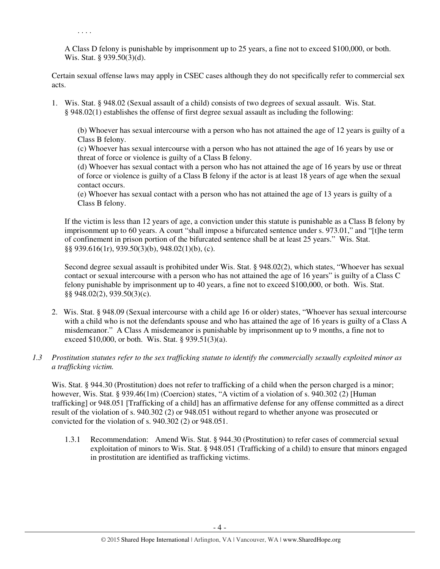A Class D felony is punishable by imprisonment up to 25 years, a fine not to exceed \$100,000, or both. Wis. Stat. § 939.50(3)(d).

Certain sexual offense laws may apply in CSEC cases although they do not specifically refer to commercial sex acts.

1. Wis. Stat. § 948.02 (Sexual assault of a child) consists of two degrees of sexual assault. Wis. Stat. § 948.02(1) establishes the offense of first degree sexual assault as including the following:

(b) Whoever has sexual intercourse with a person who has not attained the age of 12 years is guilty of a Class B felony.

(c) Whoever has sexual intercourse with a person who has not attained the age of 16 years by use or threat of force or violence is guilty of a Class B felony.

(d) Whoever has sexual contact with a person who has not attained the age of 16 years by use or threat of force or violence is guilty of a Class B felony if the actor is at least 18 years of age when the sexual contact occurs.

(e) Whoever has sexual contact with a person who has not attained the age of 13 years is guilty of a Class B felony.

If the victim is less than 12 years of age, a conviction under this statute is punishable as a Class B felony by imprisonment up to 60 years. A court "shall impose a bifurcated sentence under s. 973.01," and "[t]he term of confinement in prison portion of the bifurcated sentence shall be at least 25 years." Wis. Stat. §§ 939.616(1r), 939.50(3)(b), 948.02(1)(b), (c).

Second degree sexual assault is prohibited under Wis. Stat. § 948.02(2), which states, "Whoever has sexual contact or sexual intercourse with a person who has not attained the age of 16 years" is guilty of a Class C felony punishable by imprisonment up to 40 years, a fine not to exceed \$100,000, or both. Wis. Stat. §§ 948.02(2), 939.50(3)(c).

- 2. Wis. Stat. § 948.09 (Sexual intercourse with a child age 16 or older) states, "Whoever has sexual intercourse with a child who is not the defendants spouse and who has attained the age of 16 years is guilty of a Class A misdemeanor." A Class A misdemeanor is punishable by imprisonment up to 9 months, a fine not to exceed \$10,000, or both. Wis. Stat. § 939.51(3)(a).
- *1.3 Prostitution statutes refer to the sex trafficking statute to identify the commercially sexually exploited minor as a trafficking victim.*

Wis. Stat. § 944.30 (Prostitution) does not refer to trafficking of a child when the person charged is a minor; however, Wis. Stat. § 939.46(1m) (Coercion) states, "A victim of a violation of s. 940.302 (2) [Human] trafficking] or 948.051 [Trafficking of a child] has an affirmative defense for any offense committed as a direct result of the violation of s. 940.302 (2) or 948.051 without regard to whether anyone was prosecuted or convicted for the violation of s. 940.302 (2) or 948.051.

1.3.1 Recommendation: Amend Wis. Stat. § 944.30 (Prostitution) to refer cases of commercial sexual exploitation of minors to Wis. Stat. § 948.051 (Trafficking of a child) to ensure that minors engaged in prostitution are identified as trafficking victims.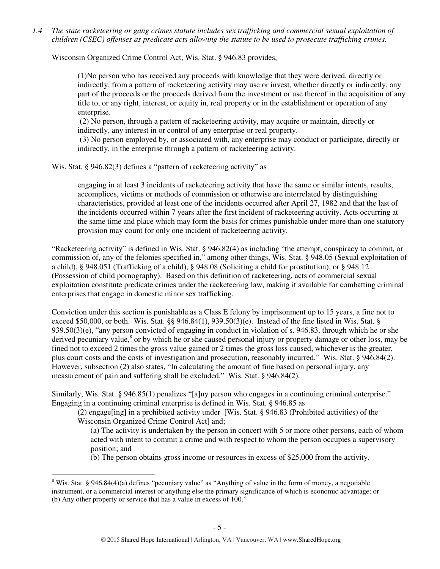*1.4 The state racketeering or gang crimes statute includes sex trafficking and commercial sexual exploitation of children (CSEC) offenses as predicate acts allowing the statute to be used to prosecute trafficking crimes.* 

Wisconsin Organized Crime Control Act, Wis. Stat. § 946.83 provides,

(1)No person who has received any proceeds with knowledge that they were derived, directly or indirectly, from a pattern of racketeering activity may use or invest, whether directly or indirectly, any part of the proceeds or the proceeds derived from the investment or use thereof in the acquisition of any title to, or any right, interest, or equity in, real property or in the establishment or operation of any enterprise.

(2) No person, through a pattern of racketeering activity, may acquire or maintain, directly or indirectly, any interest in or control of any enterprise or real property.

(3) No person employed by, or associated with, any enterprise may conduct or participate, directly or indirectly, in the enterprise through a pattern of racketeering activity.

Wis. Stat. § 946.82(3) defines a "pattern of racketeering activity" as

engaging in at least 3 incidents of racketeering activity that have the same or similar intents, results, accomplices, victims or methods of commission or otherwise are interrelated by distinguishing characteristics, provided at least one of the incidents occurred after April 27, 1982 and that the last of the incidents occurred within 7 years after the first incident of racketeering activity. Acts occurring at the same time and place which may form the basis for crimes punishable under more than one statutory provision may count for only one incident of racketeering activity.

"Racketeering activity" is defined in Wis. Stat. § 946.82(4) as including "the attempt, conspiracy to commit, or commission of, any of the felonies specified in," among other things, Wis. Stat. § 948.05 (Sexual exploitation of a child), § 948.051 (Trafficking of a child), § 948.08 (Soliciting a child for prostitution), or § 948.12 (Possession of child pornography). Based on this definition of racketeering, acts of commercial sexual exploitation constitute predicate crimes under the racketeering law, making it available for combatting criminal enterprises that engage in domestic minor sex trafficking.

Conviction under this section is punishable as a Class E felony by imprisonment up to 15 years, a fine not to exceed \$50,000, or both. Wis. Stat. §§ 946.84(1), 939.50(3)(e). Instead of the fine listed in Wis. Stat. §  $939.50(3)(e)$ , "any person convicted of engaging in conduct in violation of s. 946.83, through which he or she derived pecuniary value,<sup>8</sup> or by which he or she caused personal injury or property damage or other loss, may be fined not to exceed 2 times the gross value gained or 2 times the gross loss caused, whichever is the greater, plus court costs and the costs of investigation and prosecution, reasonably incurred." Wis. Stat. § 946.84(2). However, subsection (2) also states, "In calculating the amount of fine based on personal injury, any measurement of pain and suffering shall be excluded." Wis. Stat. § 946.84(2).

Similarly, Wis. Stat. § 946.85(1) penalizes "[a]ny person who engages in a continuing criminal enterprise." Engaging in a continuing criminal enterprise is defined in Wis. Stat. § 946.85 as

(2) engage[ing] in a prohibited activity under [Wis. Stat. § 946.83 (Prohibited activities) of the Wisconsin Organized Crime Control Act] and;

(a) The activity is undertaken by the person in concert with 5 or more other persons, each of whom acted with intent to commit a crime and with respect to whom the person occupies a supervisory position; and

(b) The person obtains gross income or resources in excess of \$25,000 from the activity.

<sup>&</sup>lt;sup>8</sup> Wis. Stat. § 946.84(4)(a) defines "pecuniary value" as "Anything of value in the form of money, a negotiable instrument, or a commercial interest or anything else the primary significance of which is economic advantage; or (b) Any other property or service that has a value in excess of 100."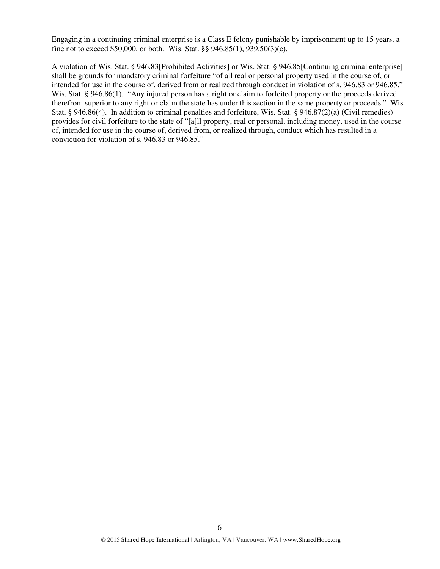Engaging in a continuing criminal enterprise is a Class E felony punishable by imprisonment up to 15 years, a fine not to exceed \$50,000, or both. Wis. Stat. §§ 946.85(1), 939.50(3)(e).

A violation of Wis. Stat. § 946.83[Prohibited Activities] or Wis. Stat. § 946.85[Continuing criminal enterprise] shall be grounds for mandatory criminal forfeiture "of all real or personal property used in the course of, or intended for use in the course of, derived from or realized through conduct in violation of s. 946.83 or 946.85." Wis. Stat. § 946.86(1). "Any injured person has a right or claim to forfeited property or the proceeds derived therefrom superior to any right or claim the state has under this section in the same property or proceeds." Wis. Stat. § 946.86(4). In addition to criminal penalties and forfeiture, Wis. Stat. § 946.87(2)(a) (Civil remedies) provides for civil forfeiture to the state of "[a]ll property, real or personal, including money, used in the course of, intended for use in the course of, derived from, or realized through, conduct which has resulted in a conviction for violation of s. 946.83 or 946.85."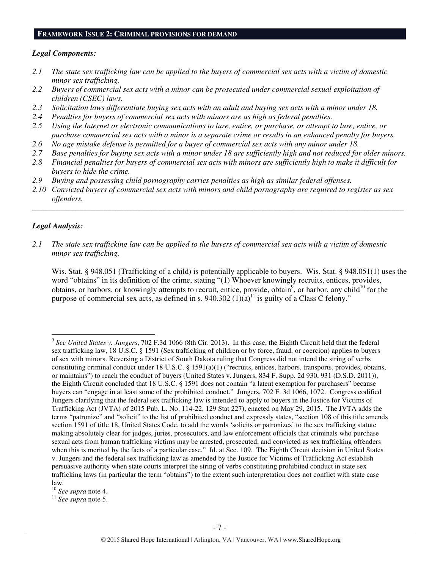#### **FRAMEWORK ISSUE 2: CRIMINAL PROVISIONS FOR DEMAND**

## *Legal Components:*

- *2.1 The state sex trafficking law can be applied to the buyers of commercial sex acts with a victim of domestic minor sex trafficking.*
- *2.2 Buyers of commercial sex acts with a minor can be prosecuted under commercial sexual exploitation of children (CSEC) laws.*
- *2.3 Solicitation laws differentiate buying sex acts with an adult and buying sex acts with a minor under 18.*
- *2.4 Penalties for buyers of commercial sex acts with minors are as high as federal penalties.*
- *2.5 Using the Internet or electronic communications to lure, entice, or purchase, or attempt to lure, entice, or purchase commercial sex acts with a minor is a separate crime or results in an enhanced penalty for buyers.*
- *2.6 No age mistake defense is permitted for a buyer of commercial sex acts with any minor under 18.*
- *2.7 Base penalties for buying sex acts with a minor under 18 are sufficiently high and not reduced for older minors.*
- *2.8 Financial penalties for buyers of commercial sex acts with minors are sufficiently high to make it difficult for buyers to hide the crime.*
- *2.9 Buying and possessing child pornography carries penalties as high as similar federal offenses.*
- *2.10 Convicted buyers of commercial sex acts with minors and child pornography are required to register as sex offenders.*

\_\_\_\_\_\_\_\_\_\_\_\_\_\_\_\_\_\_\_\_\_\_\_\_\_\_\_\_\_\_\_\_\_\_\_\_\_\_\_\_\_\_\_\_\_\_\_\_\_\_\_\_\_\_\_\_\_\_\_\_\_\_\_\_\_\_\_\_\_\_\_\_\_\_\_\_\_\_\_\_\_\_\_\_\_\_\_\_\_\_\_\_\_\_

## *Legal Analysis:*

l

*2.1 The state sex trafficking law can be applied to the buyers of commercial sex acts with a victim of domestic minor sex trafficking.* 

Wis. Stat. § 948.051 (Trafficking of a child) is potentially applicable to buyers. Wis. Stat. § 948.051(1) uses the word "obtains" in its definition of the crime, stating "(1) Whoever knowingly recruits, entices, provides, obtains, or harbors, or knowingly attempts to recruit, entice, provide, obtain<sup>9</sup>, or harbor, any child<sup>10</sup> for the purpose of commercial sex acts, as defined in s.  $940.302 (1)(a)^{11}$  is guilty of a Class C felony."

<sup>11</sup> *See supra* note 5.

<sup>9</sup> *See United States v. Jungers*, 702 F.3d 1066 (8th Cir. 2013). In this case, the Eighth Circuit held that the federal sex trafficking law, 18 U.S.C. § 1591 (Sex trafficking of children or by force, fraud, or coercion) applies to buyers of sex with minors. Reversing a District of South Dakota ruling that Congress did not intend the string of verbs constituting criminal conduct under 18 U.S.C. § 1591(a)(1) ("recruits, entices, harbors, transports, provides, obtains, or maintains") to reach the conduct of buyers (United States v. Jungers, 834 F. Supp. 2d 930, 931 (D.S.D. 2011)), the Eighth Circuit concluded that 18 U.S.C. § 1591 does not contain "a latent exemption for purchasers" because buyers can "engage in at least some of the prohibited conduct." Jungers, 702 F. 3d 1066, 1072. Congress codified Jungers clarifying that the federal sex trafficking law is intended to apply to buyers in the Justice for Victims of Trafficking Act (JVTA) of 2015 Pub. L. No. 114-22, 129 Stat 227), enacted on May 29, 2015. The JVTA adds the terms "patronize" and "solicit" to the list of prohibited conduct and expressly states, "section 108 of this title amends section 1591 of title 18, United States Code, to add the words 'solicits or patronizes' to the sex trafficking statute making absolutely clear for judges, juries, prosecutors, and law enforcement officials that criminals who purchase sexual acts from human trafficking victims may be arrested, prosecuted, and convicted as sex trafficking offenders when this is merited by the facts of a particular case." Id. at Sec. 109. The Eighth Circuit decision in United States v. Jungers and the federal sex trafficking law as amended by the Justice for Victims of Trafficking Act establish persuasive authority when state courts interpret the string of verbs constituting prohibited conduct in state sex trafficking laws (in particular the term "obtains") to the extent such interpretation does not conflict with state case law.

<sup>10</sup> *See supra* note 4.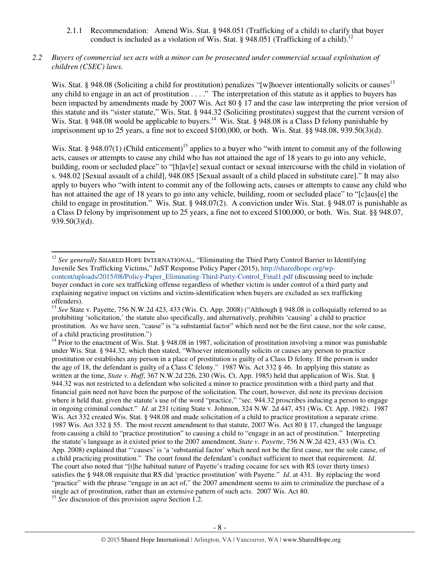2.1.1 Recommendation: Amend Wis. Stat. § 948.051 (Trafficking of a child) to clarify that buyer conduct is included as a violation of Wis. Stat. § 948.051 (Trafficking of a child).<sup>12</sup>

## *2.2 Buyers of commercial sex acts with a minor can be prosecuted under commercial sexual exploitation of children (CSEC) laws.*

Wis. Stat. § 948.08 (Soliciting a child for prostitution) penalizes "[w]hoever intentionally solicits or causes<sup>13</sup> any child to engage in an act of prostitution . . . ." The interpretation of this statute as it applies to buyers has been impacted by amendments made by 2007 Wis. Act 80 § 17 and the case law interpreting the prior version of this statute and its "sister statute," Wis. Stat. § 944.32 (Soliciting prostitutes) suggest that the current version of Wis. Stat. § 948.08 would be applicable to buyers.<sup>14</sup> Wis. Stat. § 948.08 is a Class D felony punishable by imprisonment up to 25 years, a fine not to exceed \$100,000, or both. Wis. Stat. §§ 948.08, 939.50(3)(d).

Wis. Stat. § 948.07(1) (Child enticement)<sup>15</sup> applies to a buyer who "with intent to commit any of the following acts, causes or attempts to cause any child who has not attained the age of 18 years to go into any vehicle, building, room or secluded place" to "[h]av[e] sexual contact or sexual intercourse with the child in violation of s. 948.02 [Sexual assault of a child], 948.085 [Sexual assault of a child placed in substitute care]." It may also apply to buyers who "with intent to commit any of the following acts, causes or attempts to cause any child who has not attained the age of 18 years to go into any vehicle, building, room or secluded place" to "[c]aus[e] the child to engage in prostitution." Wis. Stat. § 948.07(2). A conviction under Wis. Stat. § 948.07 is punishable as a Class D felony by imprisonment up to 25 years, a fine not to exceed \$100,000, or both. Wis. Stat. §§ 948.07, 939.50(3)(d).

<sup>&</sup>lt;sup>12</sup> See generally SHARED HOPE INTERNATIONAL, "Eliminating the Third Party Control Barrier to Identifying Juvenile Sex Trafficking Victims," JuST Response Policy Paper (2015), http://sharedhope.org/wpcontent/uploads/2015/08/Policy-Paper\_Eliminating-Third-Party-Control\_Final1.pdf (discussing need to include buyer conduct in core sex trafficking offense regardless of whether victim is under control of a third party and explaining negative impact on victims and victim-identification when buyers are excluded as sex trafficking offenders).

<sup>&</sup>lt;sup>13</sup> See State v. Payette, 756 N.W.2d 423, 433 (Wis. Ct. App. 2008) ("Although § 948.08 is colloquially referred to as prohibiting 'solicitation,' the statute also specifically, and alternatively, prohibits 'causing' a child to practice prostitution. As we have seen, "cause" is "a substantial factor" which need not be the first cause, nor the sole cause, of a child practicing prostitution.")

<sup>&</sup>lt;sup>14</sup> Prior to the enactment of Wis. Stat. § 948.08 in 1987, solicitation of prostitution involving a minor was punishable under Wis. Stat. § 944.32, which then stated, "Whoever intentionally solicits or causes any person to practice prostitution or establishes any person in a place of prostitution is guilty of a Class D felony. If the person is under the age of 18, the defendant is guilty of a Class C felony." 1987 Wis. Act 332 § 46. In applying this statute as written at the time, *State v. Huff*, 367 N.W.2d 226, 230 (Wis. Ct. App. 1985) held that application of Wis. Stat. § 944.32 was not restricted to a defendant who solicited a minor to practice prostitution with a third party and that financial gain need not have been the purpose of the solicitation. The court, however, did note its previous decision where it held that, given the statute's use of the word "practice," "sec. 944.32 proscribes inducing a person to engage in ongoing criminal conduct." *Id*. at 231 (citing State v. Johnson, 324 N.W. 2d 447, 451 (Wis. Ct. App. 1982). 1987 Wis. Act 332 created Wis. Stat. § 948.08 and made solicitation of a child to practice prostitution a separate crime. 1987 Wis. Act 332 § 55. The most recent amendment to that statute, 2007 Wis. Act 80 § 17, changed the language from causing a child to "practice prostitution" to causing a child to "engage in an act of prostitution." Interpreting the statute's language as it existed prior to the 2007 amendment, *State v. Payette*, 756 N.W.2d 423, 433 (Wis. Ct. App. 2008) explained that "'causes' is 'a 'substantial factor' which need not be the first cause, nor the sole cause, of a child practicing prostitution." The court found the defendant's conduct sufficient to meet that requirement. *Id*. The court also noted that "[t]he habitual nature of Payette's trading cocaine for sex with RS (over thirty times) satisfies the § 948.08 requisite that RS did 'practice prostitution' with Payette." *Id.* at 431. By replacing the word "practice" with the phrase "engage in an act of," the 2007 amendment seems to aim to criminalize the purchase of a single act of prostitution, rather than an extensive pattern of such acts. 2007 Wis. Act 80.

<sup>15</sup> *See* discussion of this provision *supra* Section 1.2.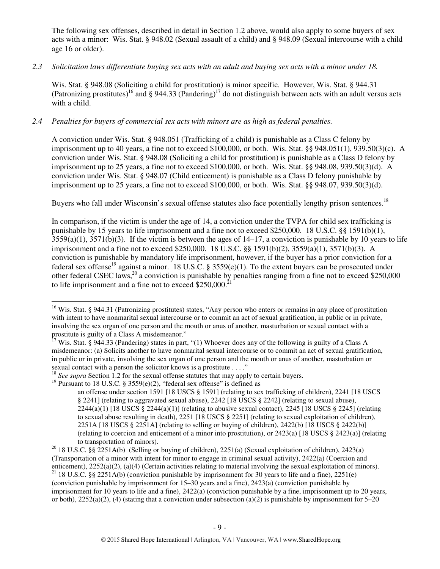The following sex offenses, described in detail in Section 1.2 above, would also apply to some buyers of sex acts with a minor: Wis. Stat. § 948.02 (Sexual assault of a child) and § 948.09 (Sexual intercourse with a child age 16 or older).

## *2.3 Solicitation laws differentiate buying sex acts with an adult and buying sex acts with a minor under 18.*

Wis. Stat. § 948.08 (Soliciting a child for prostitution) is minor specific. However, Wis. Stat. § 944.31 (Patronizing prostitutes)<sup>16</sup> and § 944.33 (Pandering)<sup>17</sup> do not distinguish between acts with an adult versus acts with a child.

## *2.4 Penalties for buyers of commercial sex acts with minors are as high as federal penalties.*

A conviction under Wis. Stat. § 948.051 (Trafficking of a child) is punishable as a Class C felony by imprisonment up to 40 years, a fine not to exceed \$100,000, or both. Wis. Stat. §§ 948.051(1), 939.50(3)(c). A conviction under Wis. Stat. § 948.08 (Soliciting a child for prostitution) is punishable as a Class D felony by imprisonment up to 25 years, a fine not to exceed \$100,000, or both. Wis. Stat. §§ 948.08, 939.50(3)(d). A conviction under Wis. Stat. § 948.07 (Child enticement) is punishable as a Class D felony punishable by imprisonment up to 25 years, a fine not to exceed \$100,000, or both. Wis. Stat. §§ 948.07, 939.50(3)(d).

Buyers who fall under Wisconsin's sexual offense statutes also face potentially lengthy prison sentences.<sup>18</sup>

In comparison, if the victim is under the age of 14, a conviction under the TVPA for child sex trafficking is punishable by 15 years to life imprisonment and a fine not to exceed \$250,000. 18 U.S.C. §§ 1591(b)(1),  $3559(a)(1)$ ,  $3571(b)(3)$ . If the victim is between the ages of  $14-17$ , a conviction is punishable by 10 years to life imprisonment and a fine not to exceed \$250,000. 18 U.S.C. §§ 1591(b)(2), 3559(a)(1), 3571(b)(3). A conviction is punishable by mandatory life imprisonment, however, if the buyer has a prior conviction for a federal sex offense<sup>19</sup> against a minor. 18 U.S.C. § 3559(e)(1). To the extent buyers can be prosecuted under other federal CSEC laws,<sup>20</sup> a conviction is punishable by penalties ranging from a fine not to exceed \$250,000 to life imprisonment and a fine not to exceed  $$250,000.<sup>2</sup>$ 

<sup>&</sup>lt;sup>16</sup> Wis. Stat. § 944.31 (Patronizing prostitutes) states, "Any person who enters or remains in any place of prostitution with intent to have nonmarital sexual intercourse or to commit an act of sexual gratification, in public or in private, involving the sex organ of one person and the mouth or anus of another, masturbation or sexual contact with a prostitute is guilty of a Class A misdemeanor."

<sup>&</sup>lt;sup>7</sup> Wis. Stat. § 944.33 (Pandering) states in part, "(1) Whoever does any of the following is guilty of a Class A misdemeanor: (a) Solicits another to have nonmarital sexual intercourse or to commit an act of sexual gratification, in public or in private, involving the sex organ of one person and the mouth or anus of another, masturbation or sexual contact with a person the solicitor knows is a prostitute . . . ."

<sup>&</sup>lt;sup>18</sup> *See supra* Section 1.2 for the sexual offense statutes that may apply to certain buyers.

<sup>&</sup>lt;sup>19</sup> Pursuant to 18 U.S.C. § 3559(e)(2), "federal sex offense" is defined as

an offense under section 1591 [18 USCS § 1591] (relating to sex trafficking of children), 2241 [18 USCS § 2241] (relating to aggravated sexual abuse), 2242 [18 USCS § 2242] (relating to sexual abuse),  $2244(a)(1)$  [18 USCS §  $2244(a)(1)$ ] (relating to abusive sexual contact),  $2245$  [18 USCS § 2245] (relating to sexual abuse resulting in death), 2251 [18 USCS § 2251] (relating to sexual exploitation of children), 2251A [18 USCS § 2251A] (relating to selling or buying of children), 2422(b) [18 USCS § 2422(b)] (relating to coercion and enticement of a minor into prostitution), or 2423(a) [18 USCS § 2423(a)] (relating to transportation of minors).

<sup>&</sup>lt;sup>20</sup> 18 U.S.C. §§ 2251A(b) (Selling or buying of children), 2251(a) (Sexual exploitation of children), 2423(a) (Transportation of a minor with intent for minor to engage in criminal sexual activity), 2422(a) (Coercion and enticement), 2252(a)(2), (a)(4) (Certain activities relating to material involving the sexual exploitation of minors).

<sup>&</sup>lt;sup>21</sup> 18 U.S.C. §§ 2251A(b) (conviction punishable by imprisonment for 30 years to life and a fine), 2251(e) (conviction punishable by imprisonment for 15–30 years and a fine), 2423(a) (conviction punishable by imprisonment for 10 years to life and a fine), 2422(a) (conviction punishable by a fine, imprisonment up to 20 years, or both),  $2252(a)(2)$ , (4) (stating that a conviction under subsection (a)(2) is punishable by imprisonment for 5–20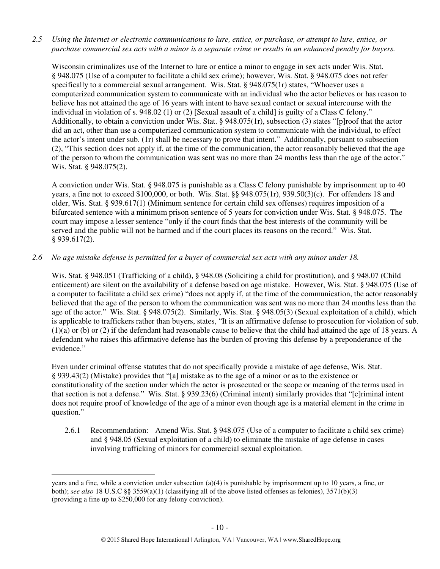*2.5 Using the Internet or electronic communications to lure, entice, or purchase, or attempt to lure, entice, or purchase commercial sex acts with a minor is a separate crime or results in an enhanced penalty for buyers.* 

Wisconsin criminalizes use of the Internet to lure or entice a minor to engage in sex acts under Wis. Stat. § 948.075 (Use of a computer to facilitate a child sex crime); however, Wis. Stat. § 948.075 does not refer specifically to a commercial sexual arrangement. Wis. Stat. § 948.075(1r) states, "Whoever uses a computerized communication system to communicate with an individual who the actor believes or has reason to believe has not attained the age of 16 years with intent to have sexual contact or sexual intercourse with the individual in violation of s. 948.02 (1) or (2) [Sexual assault of a child] is guilty of a Class C felony." Additionally, to obtain a conviction under Wis. Stat. § 948.075(1r), subsection (3) states "[p]roof that the actor did an act, other than use a computerized communication system to communicate with the individual, to effect the actor's intent under sub. (1r) shall be necessary to prove that intent." Additionally, pursuant to subsection (2), "This section does not apply if, at the time of the communication, the actor reasonably believed that the age of the person to whom the communication was sent was no more than 24 months less than the age of the actor." Wis. Stat. § 948.075(2).

A conviction under Wis. Stat. § 948.075 is punishable as a Class C felony punishable by imprisonment up to 40 years, a fine not to exceed \$100,000, or both. Wis. Stat. §§ 948.075(1r), 939.50(3)(c). For offenders 18 and older, Wis. Stat. § 939.617(1) (Minimum sentence for certain child sex offenses) requires imposition of a bifurcated sentence with a minimum prison sentence of 5 years for conviction under Wis. Stat. § 948.075. The court may impose a lesser sentence "only if the court finds that the best interests of the community will be served and the public will not be harmed and if the court places its reasons on the record." Wis. Stat. § 939.617(2).

## *2.6 No age mistake defense is permitted for a buyer of commercial sex acts with any minor under 18.*

Wis. Stat. § 948.051 (Trafficking of a child), § 948.08 (Soliciting a child for prostitution), and § 948.07 (Child enticement) are silent on the availability of a defense based on age mistake. However, Wis. Stat. § 948.075 (Use of a computer to facilitate a child sex crime) "does not apply if, at the time of the communication, the actor reasonably believed that the age of the person to whom the communication was sent was no more than 24 months less than the age of the actor." Wis. Stat. § 948.075(2). Similarly, Wis. Stat. § 948.05(3) (Sexual exploitation of a child), which is applicable to traffickers rather than buyers, states, "It is an affirmative defense to prosecution for violation of sub. (1)(a) or (b) or (2) if the defendant had reasonable cause to believe that the child had attained the age of 18 years. A defendant who raises this affirmative defense has the burden of proving this defense by a preponderance of the evidence."

Even under criminal offense statutes that do not specifically provide a mistake of age defense, Wis. Stat. § 939.43(2) (Mistake) provides that "[a] mistake as to the age of a minor or as to the existence or constitutionality of the section under which the actor is prosecuted or the scope or meaning of the terms used in that section is not a defense." Wis. Stat. § 939.23(6) (Criminal intent) similarly provides that "[c]riminal intent does not require proof of knowledge of the age of a minor even though age is a material element in the crime in question."

2.6.1 Recommendation: Amend Wis. Stat. § 948.075 (Use of a computer to facilitate a child sex crime) and § 948.05 (Sexual exploitation of a child) to eliminate the mistake of age defense in cases involving trafficking of minors for commercial sexual exploitation.

years and a fine, while a conviction under subsection (a)(4) is punishable by imprisonment up to 10 years, a fine, or both); *see also* 18 U.S.C §§ 3559(a)(1) (classifying all of the above listed offenses as felonies), 3571(b)(3) (providing a fine up to \$250,000 for any felony conviction).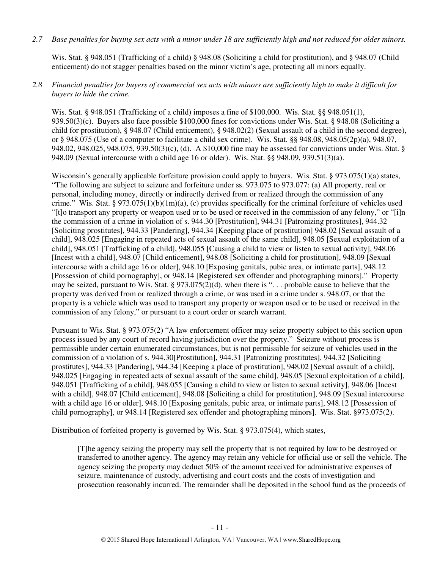*2.7 Base penalties for buying sex acts with a minor under 18 are sufficiently high and not reduced for older minors.* 

Wis. Stat. § 948.051 (Trafficking of a child) § 948.08 (Soliciting a child for prostitution), and § 948.07 (Child enticement) do not stagger penalties based on the minor victim's age, protecting all minors equally.

## *2.8 Financial penalties for buyers of commercial sex acts with minors are sufficiently high to make it difficult for buyers to hide the crime.*

Wis. Stat. § 948.051 (Trafficking of a child) imposes a fine of \$100,000. Wis. Stat. §§ 948.051(1), 939.50(3)(c). Buyers also face possible \$100,000 fines for convictions under Wis. Stat. § 948.08 (Soliciting a child for prostitution), § 948.07 (Child enticement), § 948.02(2) (Sexual assault of a child in the second degree), or § 948.075 (Use of a computer to facilitate a child sex crime). Wis. Stat. §§ 948.08, 948.05(2p)(a), 948.07, 948.02, 948.025, 948.075, 939.50(3)(c), (d). A \$10,000 fine may be assessed for convictions under Wis. Stat. § 948.09 (Sexual intercourse with a child age 16 or older). Wis. Stat. §§ 948.09, 939.51(3)(a).

Wisconsin's generally applicable forfeiture provision could apply to buyers. Wis. Stat. § 973.075(1)(a) states, "The following are subject to seizure and forfeiture under ss. 973.075 to 973.077: (a) All property, real or personal, including money, directly or indirectly derived from or realized through the commission of any crime." Wis. Stat. § 973.075(1)(b)(1m)(a), (c) provides specifically for the criminal forfeiture of vehicles used "[t]o transport any property or weapon used or to be used or received in the commission of any felony," or "[i]n the commission of a crime in violation of s. 944.30 [Prostitution], 944.31 [Patronizing prostitutes], 944.32 [Soliciting prostitutes], 944.33 [Pandering], 944.34 [Keeping place of prostitution] 948.02 [Sexual assault of a child], 948.025 [Engaging in repeated acts of sexual assault of the same child], 948.05 [Sexual exploitation of a child], 948.051 [Trafficking of a child], 948.055 [Causing a child to view or listen to sexual activity], 948.06 [Incest with a child], 948.07 [Child enticement], 948.08 [Soliciting a child for prostitution], 948.09 [Sexual intercourse with a child age 16 or older], 948.10 [Exposing genitals, pubic area, or intimate parts], 948.12 [Possession of child pornography], or 948.14 [Registered sex offender and photographing minors]." Property may be seized, pursuant to Wis. Stat. § 973.075(2)(d), when there is ". . . probable cause to believe that the property was derived from or realized through a crime, or was used in a crime under s. 948.07, or that the property is a vehicle which was used to transport any property or weapon used or to be used or received in the commission of any felony," or pursuant to a court order or search warrant.

Pursuant to Wis. Stat. § 973.075(2) "A law enforcement officer may seize property subject to this section upon process issued by any court of record having jurisdiction over the property." Seizure without process is permissible under certain enumerated circumstances, but is not permissible for seizure of vehicles used in the commission of a violation of s. 944.30[Prostitution], 944.31 [Patronizing prostitutes], 944.32 [Soliciting prostitutes], 944.33 [Pandering], 944.34 [Keeping a place of prostitution], 948.02 [Sexual assault of a child], 948.025 [Engaging in repeated acts of sexual assault of the same child], 948.05 [Sexual exploitation of a child], 948.051 [Trafficking of a child], 948.055 [Causing a child to view or listen to sexual activity], 948.06 [Incest with a child], 948.07 [Child enticement], 948.08 [Soliciting a child for prostitution], 948.09 [Sexual intercourse with a child age 16 or older], 948.10 [Exposing genitals, pubic area, or intimate parts], 948.12 [Possession of child pornography], or 948.14 [Registered sex offender and photographing minors]. Wis. Stat. §973.075(2).

Distribution of forfeited property is governed by Wis. Stat. § 973.075(4), which states,

[T]he agency seizing the property may sell the property that is not required by law to be destroyed or transferred to another agency. The agency may retain any vehicle for official use or sell the vehicle. The agency seizing the property may deduct 50% of the amount received for administrative expenses of seizure, maintenance of custody, advertising and court costs and the costs of investigation and prosecution reasonably incurred. The remainder shall be deposited in the school fund as the proceeds of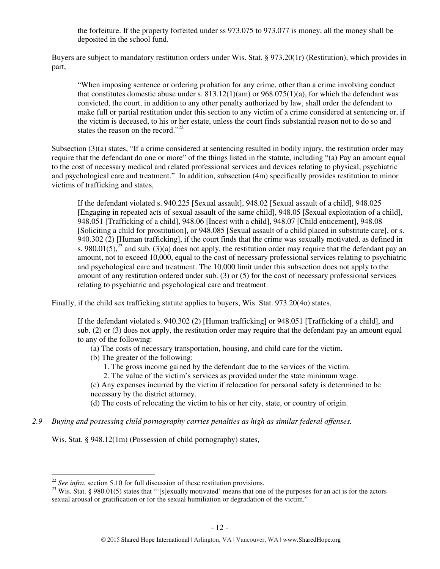the forfeiture. If the property forfeited under ss 973.075 to 973.077 is money, all the money shall be deposited in the school fund.

Buyers are subject to mandatory restitution orders under Wis. Stat. § 973.20(1r) (Restitution), which provides in part,

"When imposing sentence or ordering probation for any crime, other than a crime involving conduct that constitutes domestic abuse under s.  $813.12(1)(am)$  or  $968.075(1)(a)$ , for which the defendant was convicted, the court, in addition to any other penalty authorized by law, shall order the defendant to make full or partial restitution under this section to any victim of a crime considered at sentencing or, if the victim is deceased, to his or her estate, unless the court finds substantial reason not to do so and states the reason on the record."<sup>22</sup>

Subsection (3)(a) states, "If a crime considered at sentencing resulted in bodily injury, the restitution order may require that the defendant do one or more" of the things listed in the statute, including "(a) Pay an amount equal to the cost of necessary medical and related professional services and devices relating to physical, psychiatric and psychological care and treatment." In addition, subsection (4m) specifically provides restitution to minor victims of trafficking and states,

If the defendant violated s. 940.225 [Sexual assault], 948.02 [Sexual assault of a child], 948.025 [Engaging in repeated acts of sexual assault of the same child], 948.05 [Sexual exploitation of a child], 948.051 [Trafficking of a child], 948.06 [Incest with a child], 948.07 [Child enticement], 948.08 [Soliciting a child for prostitution], or 948.085 [Sexual assault of a child placed in substitute care], or s. 940.302 (2) [Human trafficking], if the court finds that the crime was sexually motivated, as defined in s. 980.01(5),<sup>23</sup> and sub. (3)(a) does not apply, the restitution order may require that the defendant pay an amount, not to exceed 10,000, equal to the cost of necessary professional services relating to psychiatric and psychological care and treatment. The 10,000 limit under this subsection does not apply to the amount of any restitution ordered under sub. (3) or (5) for the cost of necessary professional services relating to psychiatric and psychological care and treatment.

Finally, if the child sex trafficking statute applies to buyers, Wis. Stat. 973.20(4o) states,

If the defendant violated s. 940.302 (2) [Human trafficking] or 948.051 [Trafficking of a child], and sub. (2) or (3) does not apply, the restitution order may require that the defendant pay an amount equal to any of the following:

- (a) The costs of necessary transportation, housing, and child care for the victim.
- (b) The greater of the following:
	- 1. The gross income gained by the defendant due to the services of the victim.
	- 2. The value of the victim's services as provided under the state minimum wage.

(c) Any expenses incurred by the victim if relocation for personal safety is determined to be necessary by the district attorney.

(d) The costs of relocating the victim to his or her city, state, or country of origin.

*2.9 Buying and possessing child pornography carries penalties as high as similar federal offenses.* 

Wis. Stat. § 948.12(1m) (Possession of child pornography) states,

<sup>&</sup>lt;sup>22</sup> *See infra*, section 5.10 for full discussion of these restitution provisions.

 $23$  Wis. Stat. § 980.01(5) states that "'[s]exually motivated' means that one of the purposes for an act is for the actors sexual arousal or gratification or for the sexual humiliation or degradation of the victim."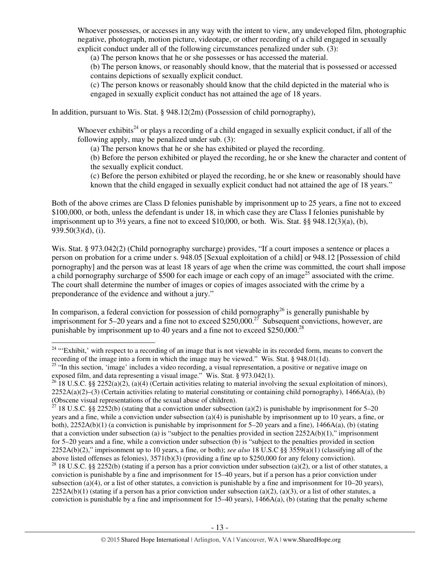Whoever possesses, or accesses in any way with the intent to view, any undeveloped film, photographic negative, photograph, motion picture, videotape, or other recording of a child engaged in sexually explicit conduct under all of the following circumstances penalized under sub. (3):

(a) The person knows that he or she possesses or has accessed the material.

(b) The person knows, or reasonably should know, that the material that is possessed or accessed contains depictions of sexually explicit conduct.

(c) The person knows or reasonably should know that the child depicted in the material who is engaged in sexually explicit conduct has not attained the age of 18 years.

In addition, pursuant to Wis. Stat. § 948.12(2m) (Possession of child pornography),

Whoever exhibits<sup>24</sup> or plays a recording of a child engaged in sexually explicit conduct, if all of the following apply, may be penalized under sub. (3):

(a) The person knows that he or she has exhibited or played the recording.

(b) Before the person exhibited or played the recording, he or she knew the character and content of the sexually explicit conduct.

(c) Before the person exhibited or played the recording, he or she knew or reasonably should have known that the child engaged in sexually explicit conduct had not attained the age of 18 years."

Both of the above crimes are Class D felonies punishable by imprisonment up to 25 years, a fine not to exceed \$100,000, or both, unless the defendant is under 18, in which case they are Class I felonies punishable by imprisonment up to  $3\frac{1}{2}$  years, a fine not to exceed \$10,000, or both. Wis. Stat. §§ 948.12(3)(a), (b), 939.50(3)(d), (i).

Wis. Stat. § 973.042(2) (Child pornography surcharge) provides, "If a court imposes a sentence or places a person on probation for a crime under s. 948.05 [Sexual exploitation of a child] or 948.12 [Possession of child pornography] and the person was at least 18 years of age when the crime was committed, the court shall impose a child pornography surcharge of \$500 for each image or each copy of an image<sup>25</sup> associated with the crime. The court shall determine the number of images or copies of images associated with the crime by a preponderance of the evidence and without a jury."

In comparison, a federal conviction for possession of child pornography<sup>26</sup> is generally punishable by imprisonment for 5–20 years and a fine not to exceed \$250,000.<sup>27</sup> Subsequent convictions, however, are punishable by imprisonment up to 40 years and a fine not to exceed \$250,000.<sup>28</sup>

<sup>&</sup>lt;sup>24</sup> "Exhibit,' with respect to a recording of an image that is not viewable in its recorded form, means to convert the recording of the image into a form in which the image may be viewed." Wis. Stat. § 948.01(1d).

<sup>&</sup>lt;sup>25</sup> "In this section, 'image' includes a video recording, a visual representation, a positive or negative image on exposed film, and data representing a visual image." Wis. Stat. § 973.042(1).

<sup>&</sup>lt;sup>26</sup> 18 U.S.C. §§ 2252(a)(2), (a)(4) (Certain activities relating to material involving the sexual exploitation of minors),  $2252A(a)(2)–(3)$  (Certain activities relating to material constituting or containing child pornography), 1466A(a), (b) (Obscene visual representations of the sexual abuse of children).

<sup>&</sup>lt;sup>27</sup> 18 U.S.C. §§ 2252(b) (stating that a conviction under subsection (a)(2) is punishable by imprisonment for 5–20 years and a fine, while a conviction under subsection (a)(4) is punishable by imprisonment up to 10 years, a fine, or both),  $2252A(b)(1)$  (a conviction is punishable by imprisonment for 5–20 years and a fine),  $1466A(a)$ , (b) (stating that a conviction under subsection (a) is "subject to the penalties provided in section  $2252A(b)(1)$ ," imprisonment for 5–20 years and a fine, while a conviction under subsection (b) is "subject to the penalties provided in section 2252A(b)(2)," imprisonment up to 10 years, a fine, or both); *see also* 18 U.S.C §§ 3559(a)(1) (classifying all of the above listed offenses as felonies), 3571(b)(3) (providing a fine up to \$250,000 for any felony conviction).

<sup>&</sup>lt;sup>28</sup> 18 U.S.C. §§ 2252(b) (stating if a person has a prior conviction under subsection (a)(2), or a list of other statutes, a conviction is punishable by a fine and imprisonment for 15–40 years, but if a person has a prior conviction under subsection (a)(4), or a list of other statutes, a conviction is punishable by a fine and imprisonment for  $10-20$  years),  $2252A(b)(1)$  (stating if a person has a prior conviction under subsection (a)(2), (a)(3), or a list of other statutes, a conviction is punishable by a fine and imprisonment for  $15-40$  years),  $1466A(a)$ , (b) (stating that the penalty scheme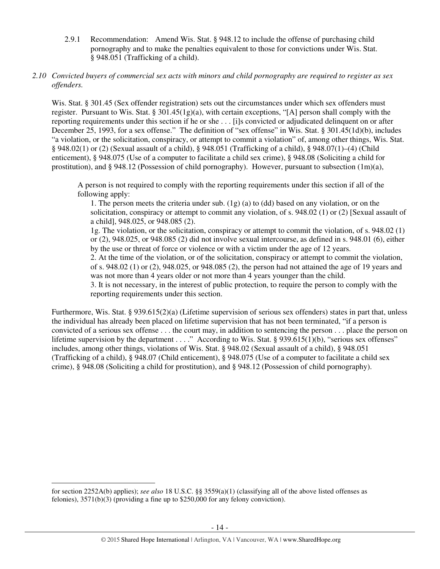2.9.1 Recommendation: Amend Wis. Stat. § 948.12 to include the offense of purchasing child pornography and to make the penalties equivalent to those for convictions under Wis. Stat. § 948.051 (Trafficking of a child).

## *2.10 Convicted buyers of commercial sex acts with minors and child pornography are required to register as sex offenders.*

Wis. Stat. § 301.45 (Sex offender registration) sets out the circumstances under which sex offenders must register. Pursuant to Wis. Stat. §  $301.45(1g)(a)$ , with certain exceptions, "[A] person shall comply with the reporting requirements under this section if he or she . . . [i]s convicted or adjudicated delinquent on or after December 25, 1993, for a sex offense." The definition of "sex offense" in Wis. Stat. § 301.45(1d)(b), includes "a violation, or the solicitation, conspiracy, or attempt to commit a violation" of, among other things, Wis. Stat. § 948.02(1) or (2) (Sexual assault of a child), § 948.051 (Trafficking of a child), § 948.07(1)–(4) (Child enticement), § 948.075 (Use of a computer to facilitate a child sex crime), § 948.08 (Soliciting a child for prostitution), and § 948.12 (Possession of child pornography). However, pursuant to subsection (1m)(a),

A person is not required to comply with the reporting requirements under this section if all of the following apply:

1. The person meets the criteria under sub. (1g) (a) to (dd) based on any violation, or on the solicitation, conspiracy or attempt to commit any violation, of s. 948.02 (1) or (2) [Sexual assault of a child], 948.025, or 948.085 (2).

1g. The violation, or the solicitation, conspiracy or attempt to commit the violation, of s. 948.02 (1) or (2), 948.025, or 948.085 (2) did not involve sexual intercourse, as defined in s. 948.01 (6), either by the use or threat of force or violence or with a victim under the age of 12 years.

2. At the time of the violation, or of the solicitation, conspiracy or attempt to commit the violation, of s. 948.02 (1) or (2), 948.025, or 948.085 (2), the person had not attained the age of 19 years and was not more than 4 years older or not more than 4 years younger than the child.

3. It is not necessary, in the interest of public protection, to require the person to comply with the reporting requirements under this section.

Furthermore, Wis. Stat. § 939.615(2)(a) (Lifetime supervision of serious sex offenders) states in part that, unless the individual has already been placed on lifetime supervision that has not been terminated, "if a person is convicted of a serious sex offense . . . the court may, in addition to sentencing the person . . . place the person on lifetime supervision by the department . . . ." According to Wis. Stat. § 939.615(1)(b), "serious sex offenses" includes, among other things, violations of Wis. Stat. § 948.02 (Sexual assault of a child), § 948.051 (Trafficking of a child), § 948.07 (Child enticement), § 948.075 (Use of a computer to facilitate a child sex crime), § 948.08 (Soliciting a child for prostitution), and § 948.12 (Possession of child pornography).

for section 2252A(b) applies); *see also* 18 U.S.C. §§ 3559(a)(1) (classifying all of the above listed offenses as felonies), 3571(b)(3) (providing a fine up to \$250,000 for any felony conviction).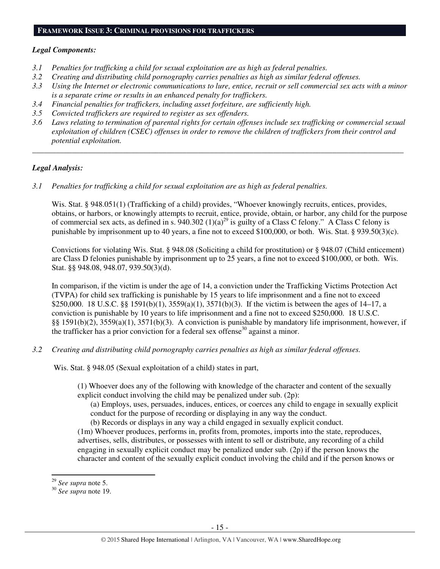#### **FRAMEWORK ISSUE 3: CRIMINAL PROVISIONS FOR TRAFFICKERS**

#### *Legal Components:*

- *3.1 Penalties for trafficking a child for sexual exploitation are as high as federal penalties.*
- *3.2 Creating and distributing child pornography carries penalties as high as similar federal offenses.*
- *3.3 Using the Internet or electronic communications to lure, entice, recruit or sell commercial sex acts with a minor is a separate crime or results in an enhanced penalty for traffickers.*
- *3.4 Financial penalties for traffickers, including asset forfeiture, are sufficiently high.*
- *3.5 Convicted traffickers are required to register as sex offenders.*
- *3.6 Laws relating to termination of parental rights for certain offenses include sex trafficking or commercial sexual exploitation of children (CSEC) offenses in order to remove the children of traffickers from their control and potential exploitation.*

*\_\_\_\_\_\_\_\_\_\_\_\_\_\_\_\_\_\_\_\_\_\_\_\_\_\_\_\_\_\_\_\_\_\_\_\_\_\_\_\_\_\_\_\_\_\_\_\_\_\_\_\_\_\_\_\_\_\_\_\_\_\_\_\_\_\_\_\_\_\_\_\_\_\_\_\_\_\_\_\_\_\_\_\_\_\_\_\_\_\_\_\_\_\_* 

## *Legal Analysis:*

*3.1 Penalties for trafficking a child for sexual exploitation are as high as federal penalties.* 

Wis. Stat. § 948.051(1) (Trafficking of a child) provides, "Whoever knowingly recruits, entices, provides, obtains, or harbors, or knowingly attempts to recruit, entice, provide, obtain, or harbor, any child for the purpose of commercial sex acts, as defined in s. 940.302 (1)(a)<sup>29</sup> is guilty of a Class C felony." A Class C felony is punishable by imprisonment up to 40 years, a fine not to exceed \$100,000, or both. Wis. Stat. § 939.50(3)(c).

Convictions for violating Wis. Stat. § 948.08 (Soliciting a child for prostitution) or § 948.07 (Child enticement) are Class D felonies punishable by imprisonment up to 25 years, a fine not to exceed \$100,000, or both. Wis. Stat. §§ 948.08, 948.07, 939.50(3)(d).

In comparison, if the victim is under the age of 14, a conviction under the Trafficking Victims Protection Act (TVPA) for child sex trafficking is punishable by 15 years to life imprisonment and a fine not to exceed \$250,000. 18 U.S.C. §§ 1591(b)(1), 3559(a)(1), 3571(b)(3). If the victim is between the ages of 14–17, a conviction is punishable by 10 years to life imprisonment and a fine not to exceed \$250,000. 18 U.S.C. §§ 1591(b)(2), 3559(a)(1), 3571(b)(3). A conviction is punishable by mandatory life imprisonment, however, if the trafficker has a prior conviction for a federal sex offense<sup>30</sup> against a minor.

*3.2 Creating and distributing child pornography carries penalties as high as similar federal offenses.* 

Wis. Stat. § 948.05 (Sexual exploitation of a child) states in part,

(1) Whoever does any of the following with knowledge of the character and content of the sexually explicit conduct involving the child may be penalized under sub. (2p):

(a) Employs, uses, persuades, induces, entices, or coerces any child to engage in sexually explicit conduct for the purpose of recording or displaying in any way the conduct.

(b) Records or displays in any way a child engaged in sexually explicit conduct.

(1m) Whoever produces, performs in, profits from, promotes, imports into the state, reproduces, advertises, sells, distributes, or possesses with intent to sell or distribute, any recording of a child engaging in sexually explicit conduct may be penalized under sub. (2p) if the person knows the character and content of the sexually explicit conduct involving the child and if the person knows or

<sup>29</sup> *See supra* note 5.

<sup>30</sup> *See supra* note 19.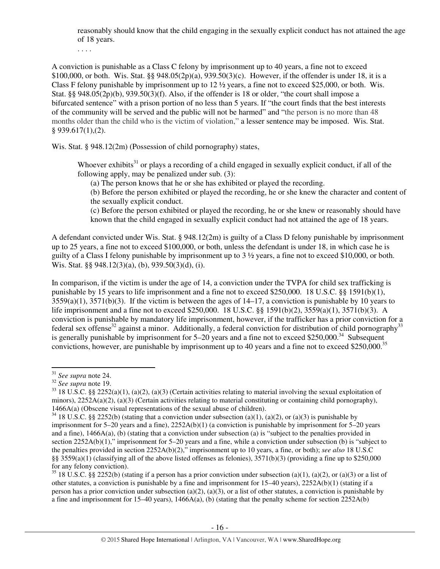reasonably should know that the child engaging in the sexually explicit conduct has not attained the age of 18 years.

. . . .

A conviction is punishable as a Class C felony by imprisonment up to 40 years, a fine not to exceed \$100,000, or both. Wis. Stat. §§ 948.05(2p)(a), 939.50(3)(c). However, if the offender is under 18, it is a Class F felony punishable by imprisonment up to  $12 \frac{1}{2}$  years, a fine not to exceed \$25,000, or both. Wis. Stat. §§ 948.05(2p)(b), 939.50(3)(f). Also, if the offender is 18 or older, "the court shall impose a bifurcated sentence" with a prison portion of no less than 5 years. If "the court finds that the best interests of the community will be served and the public will not be harmed" and "the person is no more than 48 months older than the child who is the victim of violation," a lesser sentence may be imposed. Wis. Stat. § 939.617(1),(2).

Wis. Stat. § 948.12(2m) (Possession of child pornography) states,

Whoever exhibits<sup>31</sup> or plays a recording of a child engaged in sexually explicit conduct, if all of the following apply, may be penalized under sub. (3):

(a) The person knows that he or she has exhibited or played the recording.

(b) Before the person exhibited or played the recording, he or she knew the character and content of the sexually explicit conduct.

(c) Before the person exhibited or played the recording, he or she knew or reasonably should have known that the child engaged in sexually explicit conduct had not attained the age of 18 years.

A defendant convicted under Wis. Stat. § 948.12(2m) is guilty of a Class D felony punishable by imprisonment up to 25 years, a fine not to exceed \$100,000, or both, unless the defendant is under 18, in which case he is guilty of a Class I felony punishable by imprisonment up to 3 ½ years, a fine not to exceed \$10,000, or both. Wis. Stat. §§ 948.12(3)(a), (b), 939.50(3)(d), (i).

In comparison, if the victim is under the age of 14, a conviction under the TVPA for child sex trafficking is punishable by 15 years to life imprisonment and a fine not to exceed \$250,000. 18 U.S.C. §§ 1591(b)(1),  $3559(a)(1)$ ,  $3571(b)(3)$ . If the victim is between the ages of  $14-17$ , a conviction is punishable by 10 years to life imprisonment and a fine not to exceed \$250,000. 18 U.S.C. §§ 1591(b)(2), 3559(a)(1), 3571(b)(3). A conviction is punishable by mandatory life imprisonment, however, if the trafficker has a prior conviction for a federal sex offense<sup>32</sup> against a minor. Additionally, a federal conviction for distribution of child pornography<sup>33</sup> is generally punishable by imprisonment for  $5-20$  years and a fine not to exceed \$250,000.<sup>34</sup> Subsequent convictions, however, are punishable by imprisonment up to 40 years and a fine not to exceed \$250,000.<sup>35</sup>

l

<sup>35</sup> 18 U.S.C. §§ 2252(b) (stating if a person has a prior conviction under subsection (a)(1), (a)(2), or (a)(3) or a list of other statutes, a conviction is punishable by a fine and imprisonment for  $15-40$  years),  $2252A(b)(1)$  (stating if a person has a prior conviction under subsection (a)(2), (a)(3), or a list of other statutes, a conviction is punishable by a fine and imprisonment for 15–40 years),  $1466A(a)$ , (b) (stating that the penalty scheme for section 2252A(b)

<sup>31</sup> *See supra* note 24.

<sup>32</sup> *See supra* note 19.

 $33$  18 U.S.C. §§ 2252(a)(1), (a)(2), (a)(3) (Certain activities relating to material involving the sexual exploitation of minors),  $2252A(a)(2)$ ,  $(a)(3)$  (Certain activities relating to material constituting or containing child pornography), 1466A(a) (Obscene visual representations of the sexual abuse of children).

 $34$  18 U.S.C. §§ 2252(b) (stating that a conviction under subsection (a)(1), (a)(2), or (a)(3) is punishable by imprisonment for  $5-20$  years and a fine),  $2252A(b)(1)$  (a conviction is punishable by imprisonment for  $5-20$  years and a fine), 1466A(a), (b) (stating that a conviction under subsection (a) is "subject to the penalties provided in section 2252A(b)(1)," imprisonment for 5–20 years and a fine, while a conviction under subsection (b) is "subject to the penalties provided in section 2252A(b)(2)," imprisonment up to 10 years, a fine, or both); *see also* 18 U.S.C §§ 3559(a)(1) (classifying all of the above listed offenses as felonies), 3571(b)(3) (providing a fine up to \$250,000 for any felony conviction).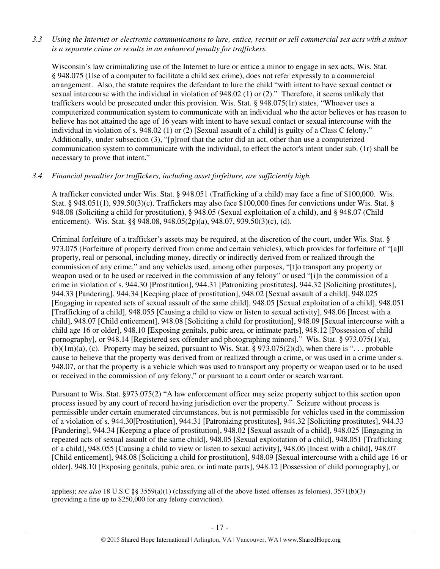## *3.3 Using the Internet or electronic communications to lure, entice, recruit or sell commercial sex acts with a minor is a separate crime or results in an enhanced penalty for traffickers.*

Wisconsin's law criminalizing use of the Internet to lure or entice a minor to engage in sex acts, Wis. Stat. § 948.075 (Use of a computer to facilitate a child sex crime), does not refer expressly to a commercial arrangement. Also, the statute requires the defendant to lure the child "with intent to have sexual contact or sexual intercourse with the individual in violation of 948.02 (1) or (2)." Therefore, it seems unlikely that traffickers would be prosecuted under this provision. Wis. Stat. § 948.075(1r) states, "Whoever uses a computerized communication system to communicate with an individual who the actor believes or has reason to believe has not attained the age of 16 years with intent to have sexual contact or sexual intercourse with the individual in violation of s. 948.02 (1) or (2) [Sexual assault of a child] is guilty of a Class C felony." Additionally, under subsection (3), "[p]roof that the actor did an act, other than use a computerized communication system to communicate with the individual, to effect the actor's intent under sub. (1r) shall be necessary to prove that intent."

# *3.4 Financial penalties for traffickers, including asset forfeiture, are sufficiently high.*

A trafficker convicted under Wis. Stat. § 948.051 (Trafficking of a child) may face a fine of \$100,000. Wis. Stat. § 948.051(1), 939.50(3)(c). Traffickers may also face \$100,000 fines for convictions under Wis. Stat. § 948.08 (Soliciting a child for prostitution), § 948.05 (Sexual exploitation of a child), and § 948.07 (Child enticement). Wis. Stat. §§ 948.08, 948.05(2p)(a), 948.07, 939.50(3)(c), (d).

Criminal forfeiture of a trafficker's assets may be required, at the discretion of the court, under Wis. Stat. § 973.075 (Forfeiture of property derived from crime and certain vehicles), which provides for forfeiture of "[a]ll property, real or personal, including money, directly or indirectly derived from or realized through the commission of any crime," and any vehicles used, among other purposes, "[t]o transport any property or weapon used or to be used or received in the commission of any felony" or used "[i]n the commission of a crime in violation of s. 944.30 [Prostitution], 944.31 [Patronizing prostitutes], 944.32 [Soliciting prostitutes], 944.33 [Pandering], 944.34 [Keeping place of prostitution], 948.02 [Sexual assault of a child], 948.025 [Engaging in repeated acts of sexual assault of the same child], 948.05 [Sexual exploitation of a child], 948.051 [Trafficking of a child], 948.055 [Causing a child to view or listen to sexual activity], 948.06 [Incest with a child], 948.07 [Child enticement], 948.08 [Soliciting a child for prostitution], 948.09 [Sexual intercourse with a child age 16 or older], 948.10 [Exposing genitals, pubic area, or intimate parts], 948.12 [Possession of child pornography], or 948.14 [Registered sex offender and photographing minors]." Wis. Stat. § 973.075(1)(a), (b)(1m)(a), (c). Property may be seized, pursuant to Wis. Stat. § 973.075(2)(d), when there is "... probable cause to believe that the property was derived from or realized through a crime, or was used in a crime under s. 948.07, or that the property is a vehicle which was used to transport any property or weapon used or to be used or received in the commission of any felony," or pursuant to a court order or search warrant.

Pursuant to Wis. Stat. §973.075(2) "A law enforcement officer may seize property subject to this section upon process issued by any court of record having jurisdiction over the property." Seizure without process is permissible under certain enumerated circumstances, but is not permissible for vehicles used in the commission of a violation of s. 944.30[Prostitution], 944.31 [Patronizing prostitutes], 944.32 [Soliciting prostitutes], 944.33 [Pandering], 944.34 [Keeping a place of prostitution], 948.02 [Sexual assault of a child], 948.025 [Engaging in repeated acts of sexual assault of the same child], 948.05 [Sexual exploitation of a child], 948.051 [Trafficking of a child], 948.055 [Causing a child to view or listen to sexual activity], 948.06 [Incest with a child], 948.07 [Child enticement], 948.08 [Soliciting a child for prostitution], 948.09 [Sexual intercourse with a child age 16 or older], 948.10 [Exposing genitals, pubic area, or intimate parts], 948.12 [Possession of child pornography], or

applies); *see also* 18 U.S.C §§ 3559(a)(1) (classifying all of the above listed offenses as felonies), 3571(b)(3) (providing a fine up to \$250,000 for any felony conviction).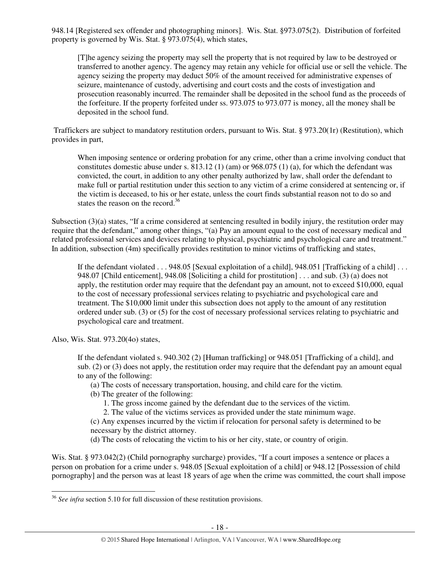948.14 [Registered sex offender and photographing minors]. Wis. Stat. §973.075(2). Distribution of forfeited property is governed by Wis. Stat. § 973.075(4), which states,

[T]he agency seizing the property may sell the property that is not required by law to be destroyed or transferred to another agency. The agency may retain any vehicle for official use or sell the vehicle. The agency seizing the property may deduct 50% of the amount received for administrative expenses of seizure, maintenance of custody, advertising and court costs and the costs of investigation and prosecution reasonably incurred. The remainder shall be deposited in the school fund as the proceeds of the forfeiture. If the property forfeited under ss. 973.075 to 973.077 is money, all the money shall be deposited in the school fund.

 Traffickers are subject to mandatory restitution orders, pursuant to Wis. Stat. § 973.20(1r) (Restitution), which provides in part,

When imposing sentence or ordering probation for any crime, other than a crime involving conduct that constitutes domestic abuse under s. 813.12 (1) (am) or 968.075 (1) (a), for which the defendant was convicted, the court, in addition to any other penalty authorized by law, shall order the defendant to make full or partial restitution under this section to any victim of a crime considered at sentencing or, if the victim is deceased, to his or her estate, unless the court finds substantial reason not to do so and states the reason on the record.<sup>36</sup>

Subsection (3)(a) states, "If a crime considered at sentencing resulted in bodily injury, the restitution order may require that the defendant," among other things, "(a) Pay an amount equal to the cost of necessary medical and related professional services and devices relating to physical, psychiatric and psychological care and treatment." In addition, subsection (4m) specifically provides restitution to minor victims of trafficking and states,

If the defendant violated . . . 948.05 [Sexual exploitation of a child], 948.051 [Trafficking of a child] . . . 948.07 [Child enticement], 948.08 [Soliciting a child for prostitution] . . . and sub. (3) (a) does not apply, the restitution order may require that the defendant pay an amount, not to exceed \$10,000, equal to the cost of necessary professional services relating to psychiatric and psychological care and treatment. The \$10,000 limit under this subsection does not apply to the amount of any restitution ordered under sub. (3) or (5) for the cost of necessary professional services relating to psychiatric and psychological care and treatment.

Also, Wis. Stat. 973.20(4o) states,

l

If the defendant violated s. 940.302 (2) [Human trafficking] or 948.051 [Trafficking of a child], and sub. (2) or (3) does not apply, the restitution order may require that the defendant pay an amount equal to any of the following:

(a) The costs of necessary transportation, housing, and child care for the victim.

- (b) The greater of the following:
	- 1. The gross income gained by the defendant due to the services of the victim.
	- 2. The value of the victims services as provided under the state minimum wage.

(c) Any expenses incurred by the victim if relocation for personal safety is determined to be necessary by the district attorney.

(d) The costs of relocating the victim to his or her city, state, or country of origin.

Wis. Stat. § 973.042(2) (Child pornography surcharge) provides, "If a court imposes a sentence or places a person on probation for a crime under s. 948.05 [Sexual exploitation of a child] or 948.12 [Possession of child pornography] and the person was at least 18 years of age when the crime was committed, the court shall impose

<sup>36</sup> *See infra* section 5.10 for full discussion of these restitution provisions.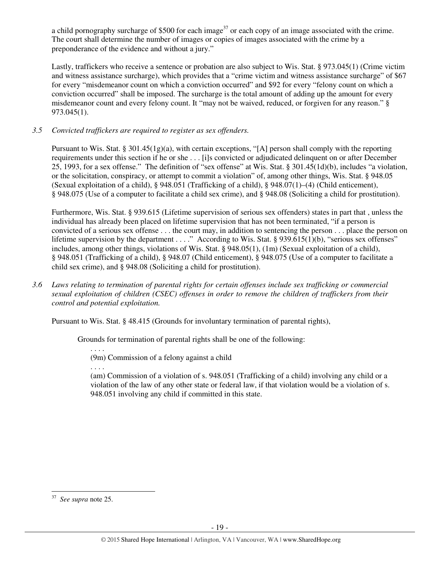a child pornography surcharge of \$500 for each image<sup>37</sup> or each copy of an image associated with the crime. The court shall determine the number of images or copies of images associated with the crime by a preponderance of the evidence and without a jury."

Lastly, traffickers who receive a sentence or probation are also subject to Wis. Stat. § 973.045(1) (Crime victim and witness assistance surcharge), which provides that a "crime victim and witness assistance surcharge" of \$67 for every "misdemeanor count on which a conviction occurred" and \$92 for every "felony count on which a conviction occurred" shall be imposed. The surcharge is the total amount of adding up the amount for every misdemeanor count and every felony count. It "may not be waived, reduced, or forgiven for any reason." § 973.045(1).

# *3.5 Convicted traffickers are required to register as sex offenders.*

Pursuant to Wis. Stat. § 301.45(1g)(a), with certain exceptions, "[A] person shall comply with the reporting requirements under this section if he or she . . . [i]s convicted or adjudicated delinquent on or after December 25, 1993, for a sex offense." The definition of "sex offense" at Wis. Stat. § 301.45(1d)(b), includes "a violation, or the solicitation, conspiracy, or attempt to commit a violation" of, among other things, Wis. Stat. § 948.05 (Sexual exploitation of a child), § 948.051 (Trafficking of a child), § 948.07(1)–(4) (Child enticement), § 948.075 (Use of a computer to facilitate a child sex crime), and § 948.08 (Soliciting a child for prostitution).

Furthermore, Wis. Stat. § 939.615 (Lifetime supervision of serious sex offenders) states in part that , unless the individual has already been placed on lifetime supervision that has not been terminated, "if a person is convicted of a serious sex offense . . . the court may, in addition to sentencing the person . . . place the person on lifetime supervision by the department . . . ." According to Wis. Stat. § 939.615(1)(b), "serious sex offenses" includes, among other things, violations of Wis. Stat. § 948.05(1), (1m) (Sexual exploitation of a child), § 948.051 (Trafficking of a child), § 948.07 (Child enticement), § 948.075 (Use of a computer to facilitate a child sex crime), and § 948.08 (Soliciting a child for prostitution).

*3.6 Laws relating to termination of parental rights for certain offenses include sex trafficking or commercial sexual exploitation of children (CSEC) offenses in order to remove the children of traffickers from their control and potential exploitation.* 

Pursuant to Wis. Stat. § 48.415 (Grounds for involuntary termination of parental rights),

Grounds for termination of parental rights shall be one of the following:

. . . . (9m) Commission of a felony against a child

. . . .

(am) Commission of a violation of s. 948.051 (Trafficking of a child) involving any child or a violation of the law of any other state or federal law, if that violation would be a violation of s. 948.051 involving any child if committed in this state.

<sup>37</sup> *See supra* note 25.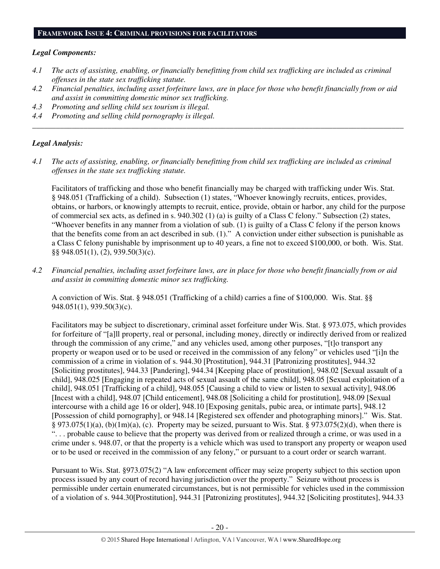#### **FRAMEWORK ISSUE 4: CRIMINAL PROVISIONS FOR FACILITATORS**

#### *Legal Components:*

- *4.1 The acts of assisting, enabling, or financially benefitting from child sex trafficking are included as criminal offenses in the state sex trafficking statute.*
- *4.2 Financial penalties, including asset forfeiture laws, are in place for those who benefit financially from or aid and assist in committing domestic minor sex trafficking.*

*\_\_\_\_\_\_\_\_\_\_\_\_\_\_\_\_\_\_\_\_\_\_\_\_\_\_\_\_\_\_\_\_\_\_\_\_\_\_\_\_\_\_\_\_\_\_\_\_\_\_\_\_\_\_\_\_\_\_\_\_\_\_\_\_\_\_\_\_\_\_\_\_\_\_\_\_\_\_\_\_\_\_\_\_\_\_\_\_\_\_\_\_\_\_* 

- *4.3 Promoting and selling child sex tourism is illegal.*
- *4.4 Promoting and selling child pornography is illegal.*

## *Legal Analysis:*

*4.1 The acts of assisting, enabling, or financially benefitting from child sex trafficking are included as criminal offenses in the state sex trafficking statute.* 

Facilitators of trafficking and those who benefit financially may be charged with trafficking under Wis. Stat. § 948.051 (Trafficking of a child). Subsection (1) states, "Whoever knowingly recruits, entices, provides, obtains, or harbors, or knowingly attempts to recruit, entice, provide, obtain or harbor, any child for the purpose of commercial sex acts, as defined in s. 940.302 (1) (a) is guilty of a Class C felony." Subsection (2) states, "Whoever benefits in any manner from a violation of sub. (1) is guilty of a Class C felony if the person knows that the benefits come from an act described in sub. (1)." A conviction under either subsection is punishable as a Class C felony punishable by imprisonment up to 40 years, a fine not to exceed \$100,000, or both. Wis. Stat. §§ 948.051(1), (2), 939.50(3)(c).

*4.2 Financial penalties, including asset forfeiture laws, are in place for those who benefit financially from or aid and assist in committing domestic minor sex trafficking.* 

A conviction of Wis. Stat. § 948.051 (Trafficking of a child) carries a fine of \$100,000. Wis. Stat. §§ 948.051(1), 939.50(3)(c).

Facilitators may be subject to discretionary, criminal asset forfeiture under Wis. Stat. § 973.075, which provides for forfeiture of "[a]ll property, real or personal, including money, directly or indirectly derived from or realized through the commission of any crime," and any vehicles used, among other purposes, "[t]o transport any property or weapon used or to be used or received in the commission of any felony" or vehicles used "[i]n the commission of a crime in violation of s. 944.30 [Prostitution], 944.31 [Patronizing prostitutes], 944.32 [Soliciting prostitutes], 944.33 [Pandering], 944.34 [Keeping place of prostitution], 948.02 [Sexual assault of a child], 948.025 [Engaging in repeated acts of sexual assault of the same child], 948.05 [Sexual exploitation of a child], 948.051 [Trafficking of a child], 948.055 [Causing a child to view or listen to sexual activity], 948.06 [Incest with a child], 948.07 [Child enticement], 948.08 [Soliciting a child for prostitution], 948.09 [Sexual intercourse with a child age 16 or older], 948.10 [Exposing genitals, pubic area, or intimate parts], 948.12 [Possession of child pornography], or 948.14 [Registered sex offender and photographing minors]." Wis. Stat. § 973.075(1)(a), (b)(1m)(a), (c). Property may be seized, pursuant to Wis. Stat. § 973.075(2)(d), when there is ". . . probable cause to believe that the property was derived from or realized through a crime, or was used in a crime under s. 948.07, or that the property is a vehicle which was used to transport any property or weapon used or to be used or received in the commission of any felony," or pursuant to a court order or search warrant.

Pursuant to Wis. Stat. §973.075(2) "A law enforcement officer may seize property subject to this section upon process issued by any court of record having jurisdiction over the property." Seizure without process is permissible under certain enumerated circumstances, but is not permissible for vehicles used in the commission of a violation of s. 944.30[Prostitution], 944.31 [Patronizing prostitutes], 944.32 [Soliciting prostitutes], 944.33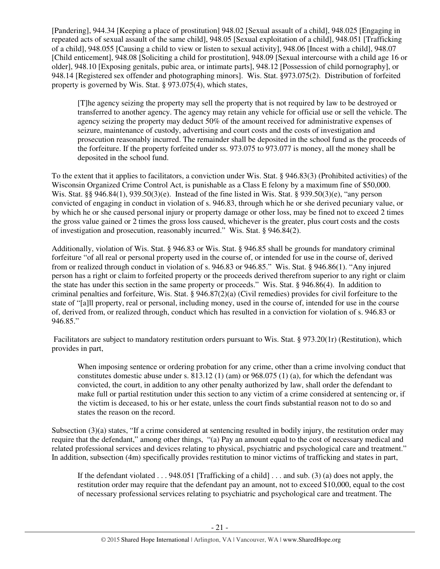[Pandering], 944.34 [Keeping a place of prostitution] 948.02 [Sexual assault of a child], 948.025 [Engaging in repeated acts of sexual assault of the same child], 948.05 [Sexual exploitation of a child], 948.051 [Trafficking of a child], 948.055 [Causing a child to view or listen to sexual activity], 948.06 [Incest with a child], 948.07 [Child enticement], 948.08 [Soliciting a child for prostitution], 948.09 [Sexual intercourse with a child age 16 or older], 948.10 [Exposing genitals, pubic area, or intimate parts], 948.12 [Possession of child pornography], or 948.14 [Registered sex offender and photographing minors]. Wis. Stat. §973.075(2). Distribution of forfeited property is governed by Wis. Stat. § 973.075(4), which states,

[T]he agency seizing the property may sell the property that is not required by law to be destroyed or transferred to another agency. The agency may retain any vehicle for official use or sell the vehicle. The agency seizing the property may deduct 50% of the amount received for administrative expenses of seizure, maintenance of custody, advertising and court costs and the costs of investigation and prosecution reasonably incurred. The remainder shall be deposited in the school fund as the proceeds of the forfeiture. If the property forfeited under ss. 973.075 to 973.077 is money, all the money shall be deposited in the school fund.

To the extent that it applies to facilitators, a conviction under Wis. Stat. § 946.83(3) (Prohibited activities) of the Wisconsin Organized Crime Control Act, is punishable as a Class E felony by a maximum fine of \$50,000. Wis. Stat. §§ 946.84(1), 939.50(3)(e). Instead of the fine listed in Wis. Stat. § 939.50(3)(e), "any person convicted of engaging in conduct in violation of s. 946.83, through which he or she derived pecuniary value, or by which he or she caused personal injury or property damage or other loss, may be fined not to exceed 2 times the gross value gained or 2 times the gross loss caused, whichever is the greater, plus court costs and the costs of investigation and prosecution, reasonably incurred." Wis. Stat. § 946.84(2).

Additionally, violation of Wis. Stat. § 946.83 or Wis. Stat. § 946.85 shall be grounds for mandatory criminal forfeiture "of all real or personal property used in the course of, or intended for use in the course of, derived from or realized through conduct in violation of s. 946.83 or 946.85." Wis. Stat. § 946.86(1). "Any injured person has a right or claim to forfeited property or the proceeds derived therefrom superior to any right or claim the state has under this section in the same property or proceeds." Wis. Stat. § 946.86(4). In addition to criminal penalties and forfeiture, Wis. Stat. § 946.87(2)(a) (Civil remedies) provides for civil forfeiture to the state of "[a]ll property, real or personal, including money, used in the course of, intended for use in the course of, derived from, or realized through, conduct which has resulted in a conviction for violation of s. 946.83 or 946.85."

Facilitators are subject to mandatory restitution orders pursuant to Wis. Stat. § 973.20(1r) (Restitution), which provides in part,

When imposing sentence or ordering probation for any crime, other than a crime involving conduct that constitutes domestic abuse under s. 813.12 (1) (am) or 968.075 (1) (a), for which the defendant was convicted, the court, in addition to any other penalty authorized by law, shall order the defendant to make full or partial restitution under this section to any victim of a crime considered at sentencing or, if the victim is deceased, to his or her estate, unless the court finds substantial reason not to do so and states the reason on the record.

Subsection (3)(a) states, "If a crime considered at sentencing resulted in bodily injury, the restitution order may require that the defendant," among other things, "(a) Pay an amount equal to the cost of necessary medical and related professional services and devices relating to physical, psychiatric and psychological care and treatment." In addition, subsection (4m) specifically provides restitution to minor victims of trafficking and states in part,

If the defendant violated  $\dots$  948.051 [Trafficking of a child]  $\dots$  and sub. (3) (a) does not apply, the restitution order may require that the defendant pay an amount, not to exceed \$10,000, equal to the cost of necessary professional services relating to psychiatric and psychological care and treatment. The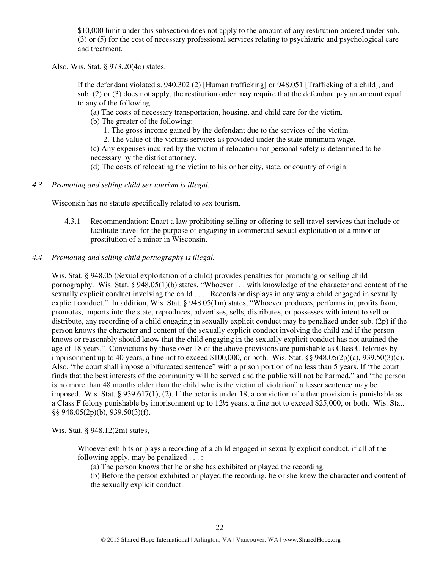\$10,000 limit under this subsection does not apply to the amount of any restitution ordered under sub. (3) or (5) for the cost of necessary professional services relating to psychiatric and psychological care and treatment.

Also, Wis. Stat. § 973.20(4o) states,

If the defendant violated s. 940.302 (2) [Human trafficking] or 948.051 [Trafficking of a child], and sub. (2) or (3) does not apply, the restitution order may require that the defendant pay an amount equal to any of the following:

(a) The costs of necessary transportation, housing, and child care for the victim.

(b) The greater of the following:

1. The gross income gained by the defendant due to the services of the victim.

2. The value of the victims services as provided under the state minimum wage.

(c) Any expenses incurred by the victim if relocation for personal safety is determined to be necessary by the district attorney.

(d) The costs of relocating the victim to his or her city, state, or country of origin.

*4.3 Promoting and selling child sex tourism is illegal.* 

Wisconsin has no statute specifically related to sex tourism.

4.3.1 Recommendation: Enact a law prohibiting selling or offering to sell travel services that include or facilitate travel for the purpose of engaging in commercial sexual exploitation of a minor or prostitution of a minor in Wisconsin.

## *4.4 Promoting and selling child pornography is illegal.*

Wis. Stat. § 948.05 (Sexual exploitation of a child) provides penalties for promoting or selling child pornography. Wis. Stat. § 948.05(1)(b) states, "Whoever . . . with knowledge of the character and content of the sexually explicit conduct involving the child . . . . Records or displays in any way a child engaged in sexually explicit conduct." In addition, Wis. Stat. § 948.05(1m) states, "Whoever produces, performs in, profits from, promotes, imports into the state, reproduces, advertises, sells, distributes, or possesses with intent to sell or distribute, any recording of a child engaging in sexually explicit conduct may be penalized under sub. (2p) if the person knows the character and content of the sexually explicit conduct involving the child and if the person knows or reasonably should know that the child engaging in the sexually explicit conduct has not attained the age of 18 years." Convictions by those over 18 of the above provisions are punishable as Class C felonies by imprisonment up to 40 years, a fine not to exceed \$100,000, or both. Wis. Stat.  $\S$ § 948.05(2p)(a), 939.50(3)(c). Also, "the court shall impose a bifurcated sentence" with a prison portion of no less than 5 years. If "the court finds that the best interests of the community will be served and the public will not be harmed," and "the person is no more than 48 months older than the child who is the victim of violation" a lesser sentence may be imposed. Wis. Stat. § 939.617(1), (2). If the actor is under 18, a conviction of either provision is punishable as a Class F felony punishable by imprisonment up to 12½ years, a fine not to exceed \$25,000, or both. Wis. Stat. §§ 948.05(2p)(b), 939.50(3)(f).

Wis. Stat. § 948.12(2m) states,

Whoever exhibits or plays a recording of a child engaged in sexually explicit conduct, if all of the following apply, may be penalized . . . :

(a) The person knows that he or she has exhibited or played the recording.

(b) Before the person exhibited or played the recording, he or she knew the character and content of the sexually explicit conduct.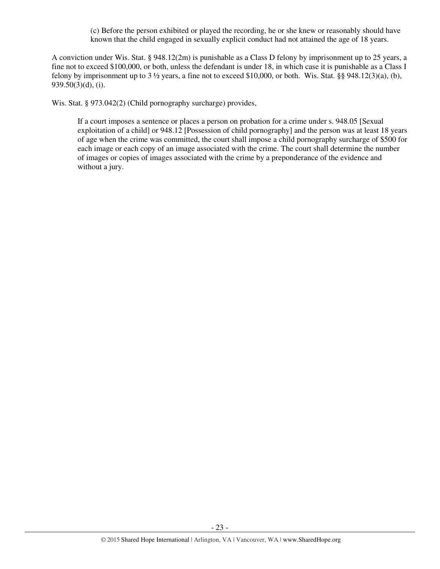(c) Before the person exhibited or played the recording, he or she knew or reasonably should have known that the child engaged in sexually explicit conduct had not attained the age of 18 years.

A conviction under Wis. Stat. § 948.12(2m) is punishable as a Class D felony by imprisonment up to 25 years, a fine not to exceed \$100,000, or both, unless the defendant is under 18, in which case it is punishable as a Class I felony by imprisonment up to  $3\frac{1}{2}$  years, a fine not to exceed \$10,000, or both. Wis. Stat. §§ 948.12(3)(a), (b), 939.50(3)(d), (i).

Wis. Stat. § 973.042(2) (Child pornography surcharge) provides,

If a court imposes a sentence or places a person on probation for a crime under s. 948.05 [Sexual exploitation of a child] or 948.12 [Possession of child pornography] and the person was at least 18 years of age when the crime was committed, the court shall impose a child pornography surcharge of \$500 for each image or each copy of an image associated with the crime. The court shall determine the number of images or copies of images associated with the crime by a preponderance of the evidence and without a jury.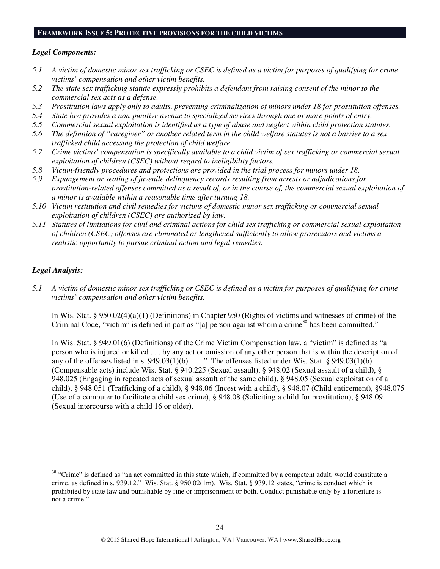#### **FRAMEWORK ISSUE 5: PROTECTIVE PROVISIONS FOR THE CHILD VICTIMS**

## *Legal Components:*

- *5.1 A victim of domestic minor sex trafficking or CSEC is defined as a victim for purposes of qualifying for crime victims' compensation and other victim benefits.*
- *5.2 The state sex trafficking statute expressly prohibits a defendant from raising consent of the minor to the commercial sex acts as a defense.*
- *5.3 Prostitution laws apply only to adults, preventing criminalization of minors under 18 for prostitution offenses.*
- *5.4 State law provides a non-punitive avenue to specialized services through one or more points of entry.*
- *5.5 Commercial sexual exploitation is identified as a type of abuse and neglect within child protection statutes.*
- *5.6 The definition of "caregiver" or another related term in the child welfare statutes is not a barrier to a sex trafficked child accessing the protection of child welfare.*
- *5.7 Crime victims' compensation is specifically available to a child victim of sex trafficking or commercial sexual exploitation of children (CSEC) without regard to ineligibility factors.*
- *5.8 Victim-friendly procedures and protections are provided in the trial process for minors under 18.*
- *5.9 Expungement or sealing of juvenile delinquency records resulting from arrests or adjudications for prostitution-related offenses committed as a result of, or in the course of, the commercial sexual exploitation of a minor is available within a reasonable time after turning 18.*
- *5.10 Victim restitution and civil remedies for victims of domestic minor sex trafficking or commercial sexual exploitation of children (CSEC) are authorized by law.*
- *5.11 Statutes of limitations for civil and criminal actions for child sex trafficking or commercial sexual exploitation of children (CSEC) offenses are eliminated or lengthened sufficiently to allow prosecutors and victims a realistic opportunity to pursue criminal action and legal remedies.*

*\_\_\_\_\_\_\_\_\_\_\_\_\_\_\_\_\_\_\_\_\_\_\_\_\_\_\_\_\_\_\_\_\_\_\_\_\_\_\_\_\_\_\_\_\_\_\_\_\_\_\_\_\_\_\_\_\_\_\_\_\_\_\_\_\_\_\_\_\_\_\_\_\_\_\_\_\_\_\_\_\_\_\_\_\_\_\_\_\_\_\_\_\_* 

## *Legal Analysis:*

l

*5.1 A victim of domestic minor sex trafficking or CSEC is defined as a victim for purposes of qualifying for crime victims' compensation and other victim benefits.* 

In Wis. Stat. § 950.02(4)(a)(1) (Definitions) in Chapter 950 (Rights of victims and witnesses of crime) of the Criminal Code, "victim" is defined in part as "[a] person against whom a crime<sup>38</sup> has been committed."

In Wis. Stat. § 949.01(6) (Definitions) of the Crime Victim Compensation law, a "victim" is defined as "a person who is injured or killed . . . by any act or omission of any other person that is within the description of any of the offenses listed in s.  $949.03(1)(b)$ ...." The offenses listed under Wis. Stat. §  $949.03(1)(b)$ (Compensable acts) include Wis. Stat. § 940.225 (Sexual assault), § 948.02 (Sexual assault of a child), § 948.025 (Engaging in repeated acts of sexual assault of the same child), § 948.05 (Sexual exploitation of a child), § 948.051 (Trafficking of a child), § 948.06 (Incest with a child), § 948.07 (Child enticement), §948.075 (Use of a computer to facilitate a child sex crime), § 948.08 (Soliciting a child for prostitution), § 948.09 (Sexual intercourse with a child 16 or older).

<sup>&</sup>lt;sup>38</sup> "Crime" is defined as "an act committed in this state which, if committed by a competent adult, would constitute a crime, as defined in s. 939.12." Wis. Stat. § 950.02(1m). Wis. Stat. § 939.12 states, "crime is conduct which is prohibited by state law and punishable by fine or imprisonment or both. Conduct punishable only by a forfeiture is not a crime."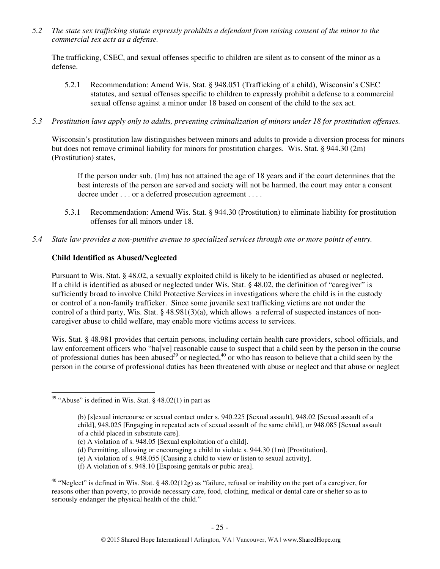*5.2 The state sex trafficking statute expressly prohibits a defendant from raising consent of the minor to the commercial sex acts as a defense.* 

The trafficking, CSEC, and sexual offenses specific to children are silent as to consent of the minor as a defense.

- 5.2.1 Recommendation: Amend Wis. Stat. § 948.051 (Trafficking of a child), Wisconsin's CSEC statutes, and sexual offenses specific to children to expressly prohibit a defense to a commercial sexual offense against a minor under 18 based on consent of the child to the sex act.
- *5.3 Prostitution laws apply only to adults, preventing criminalization of minors under 18 for prostitution offenses.*

Wisconsin's prostitution law distinguishes between minors and adults to provide a diversion process for minors but does not remove criminal liability for minors for prostitution charges. Wis. Stat. § 944.30 (2m) (Prostitution) states,

If the person under sub. (1m) has not attained the age of 18 years and if the court determines that the best interests of the person are served and society will not be harmed, the court may enter a consent decree under . . . or a deferred prosecution agreement . . . .

- 5.3.1 Recommendation: Amend Wis. Stat. § 944.30 (Prostitution) to eliminate liability for prostitution offenses for all minors under 18.
- *5.4 State law provides a non-punitive avenue to specialized services through one or more points of entry.*

# **Child Identified as Abused/Neglected**

Pursuant to Wis. Stat. § 48.02, a sexually exploited child is likely to be identified as abused or neglected. If a child is identified as abused or neglected under Wis. Stat. § 48.02, the definition of "caregiver" is sufficiently broad to involve Child Protective Services in investigations where the child is in the custody or control of a non-family trafficker. Since some juvenile sext trafficking victims are not under the control of a third party, Wis. Stat. § 48.981(3)(a), which allows a referral of suspected instances of noncaregiver abuse to child welfare, may enable more victims access to services.

Wis. Stat. § 48.981 provides that certain persons, including certain health care providers, school officials, and law enforcement officers who "ha[ve] reasonable cause to suspect that a child seen by the person in the course of professional duties has been abused<sup>39</sup> or neglected,<sup>40</sup> or who has reason to believe that a child seen by the person in the course of professional duties has been threatened with abuse or neglect and that abuse or neglect

 $\overline{a}$ 

- (e) A violation of s. 948.055 [Causing a child to view or listen to sexual activity].
- (f) A violation of s. 948.10 [Exposing genitals or pubic area].

<sup>40</sup> "Neglect" is defined in Wis. Stat. § 48.02(12g) as "failure, refusal or inability on the part of a caregiver, for reasons other than poverty, to provide necessary care, food, clothing, medical or dental care or shelter so as to seriously endanger the physical health of the child."

<sup>&</sup>lt;sup>39</sup> "Abuse" is defined in Wis. Stat. §  $48.02(1)$  in part as

<sup>(</sup>b) [s]exual intercourse or sexual contact under s. 940.225 [Sexual assault], 948.02 [Sexual assault of a child], 948.025 [Engaging in repeated acts of sexual assault of the same child], or 948.085 [Sexual assault of a child placed in substitute care].

<sup>(</sup>c) A violation of s. 948.05 [Sexual exploitation of a child].

<sup>(</sup>d) Permitting, allowing or encouraging a child to violate s. 944.30 (1m) [Prostitution].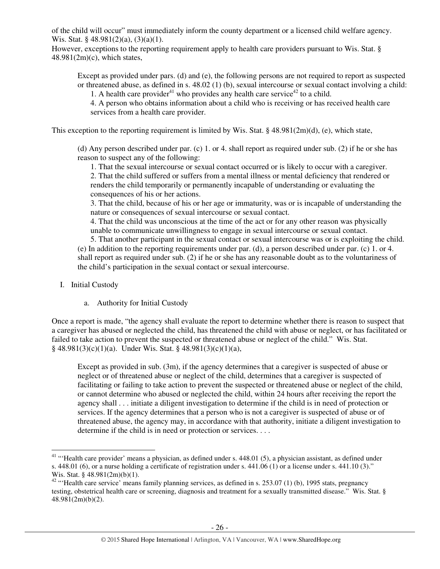of the child will occur" must immediately inform the county department or a licensed child welfare agency. Wis. Stat. § 48.981(2)(a), (3)(a)(1).

However, exceptions to the reporting requirement apply to health care providers pursuant to Wis. Stat. §  $48.981(2m)(c)$ , which states,

Except as provided under pars. (d) and (e), the following persons are not required to report as suspected or threatened abuse, as defined in s. 48.02 (1) (b), sexual intercourse or sexual contact involving a child:

1. A health care provider<sup>41</sup> who provides any health care service<sup>42</sup> to a child. 4. A person who obtains information about a child who is receiving or has received health care

services from a health care provider.

This exception to the reporting requirement is limited by Wis. Stat.  $\S$  48.981(2m)(d), (e), which state,

(d) Any person described under par. (c) 1. or 4. shall report as required under sub. (2) if he or she has reason to suspect any of the following:

1. That the sexual intercourse or sexual contact occurred or is likely to occur with a caregiver. 2. That the child suffered or suffers from a mental illness or mental deficiency that rendered or renders the child temporarily or permanently incapable of understanding or evaluating the consequences of his or her actions.

3. That the child, because of his or her age or immaturity, was or is incapable of understanding the nature or consequences of sexual intercourse or sexual contact.

4. That the child was unconscious at the time of the act or for any other reason was physically unable to communicate unwillingness to engage in sexual intercourse or sexual contact.

5. That another participant in the sexual contact or sexual intercourse was or is exploiting the child. (e) In addition to the reporting requirements under par. (d), a person described under par. (c) 1. or 4. shall report as required under sub. (2) if he or she has any reasonable doubt as to the voluntariness of the child's participation in the sexual contact or sexual intercourse.

I. Initial Custody

l

a. Authority for Initial Custody

Once a report is made, "the agency shall evaluate the report to determine whether there is reason to suspect that a caregiver has abused or neglected the child, has threatened the child with abuse or neglect, or has facilitated or failed to take action to prevent the suspected or threatened abuse or neglect of the child." Wis. Stat. § 48.981(3)(c)(1)(a). Under Wis. Stat. § 48.981(3)(c)(1)(a),

Except as provided in sub. (3m), if the agency determines that a caregiver is suspected of abuse or neglect or of threatened abuse or neglect of the child, determines that a caregiver is suspected of facilitating or failing to take action to prevent the suspected or threatened abuse or neglect of the child, or cannot determine who abused or neglected the child, within 24 hours after receiving the report the agency shall . . . initiate a diligent investigation to determine if the child is in need of protection or services. If the agency determines that a person who is not a caregiver is suspected of abuse or of threatened abuse, the agency may, in accordance with that authority, initiate a diligent investigation to determine if the child is in need or protection or services. . . .

 $41$  "'Health care provider' means a physician, as defined under s. 448.01 (5), a physician assistant, as defined under s.  $448.01$  (6), or a nurse holding a certificate of registration under s.  $441.06$  (1) or a license under s.  $441.10$  (3)." Wis. Stat. § 48.981(2m)(b)(1).

<sup>&</sup>lt;sup>42</sup> "'Health care service' means family planning services, as defined in s. 253.07 (1) (b), 1995 stats, pregnancy testing, obstetrical health care or screening, diagnosis and treatment for a sexually transmitted disease." Wis. Stat. § 48.981(2m)(b)(2).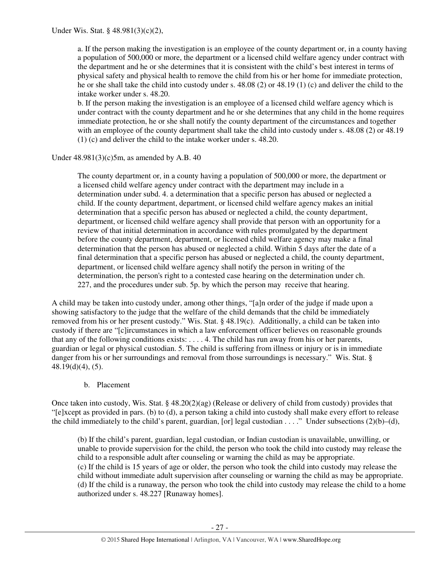a. If the person making the investigation is an employee of the county department or, in a county having a population of 500,000 or more, the department or a licensed child welfare agency under contract with the department and he or she determines that it is consistent with the child's best interest in terms of physical safety and physical health to remove the child from his or her home for immediate protection, he or she shall take the child into custody under s. 48.08 (2) or 48.19 (1) (c) and deliver the child to the intake worker under s. 48.20.

b. If the person making the investigation is an employee of a licensed child welfare agency which is under contract with the county department and he or she determines that any child in the home requires immediate protection, he or she shall notify the county department of the circumstances and together with an employee of the county department shall take the child into custody under s. 48.08 (2) or 48.19 (1) (c) and deliver the child to the intake worker under s. 48.20.

Under  $48.981(3)(c)5m$ , as amended by A.B. 40

The county department or, in a county having a population of 500,000 or more, the department or a licensed child welfare agency under contract with the department may include in a determination under subd. 4. a determination that a specific person has abused or neglected a child. If the county department, department, or licensed child welfare agency makes an initial determination that a specific person has abused or neglected a child, the county department, department, or licensed child welfare agency shall provide that person with an opportunity for a review of that initial determination in accordance with rules promulgated by the department before the county department, department, or licensed child welfare agency may make a final determination that the person has abused or neglected a child. Within 5 days after the date of a final determination that a specific person has abused or neglected a child, the county department, department, or licensed child welfare agency shall notify the person in writing of the determination, the person's right to a contested case hearing on the determination under ch. 227, and the procedures under sub. 5p. by which the person may receive that hearing.

A child may be taken into custody under, among other things, "[a]n order of the judge if made upon a showing satisfactory to the judge that the welfare of the child demands that the child be immediately removed from his or her present custody." Wis. Stat. § 48.19(c). Additionally, a child can be taken into custody if there are "[c]ircumstances in which a law enforcement officer believes on reasonable grounds that any of the following conditions exists: . . . . 4. The child has run away from his or her parents, guardian or legal or physical custodian. 5. The child is suffering from illness or injury or is in immediate danger from his or her surroundings and removal from those surroundings is necessary." Wis. Stat. §  $48.19(d)(4)$ , (5).

# b. Placement

Once taken into custody, Wis. Stat. § 48.20(2)(ag) (Release or delivery of child from custody) provides that "[e]xcept as provided in pars. (b) to (d), a person taking a child into custody shall make every effort to release the child immediately to the child's parent, guardian, [or] legal custodian . . . ." Under subsections (2)(b)–(d),

(b) If the child's parent, guardian, legal custodian, or Indian custodian is unavailable, unwilling, or unable to provide supervision for the child, the person who took the child into custody may release the child to a responsible adult after counseling or warning the child as may be appropriate. (c) If the child is 15 years of age or older, the person who took the child into custody may release the child without immediate adult supervision after counseling or warning the child as may be appropriate. (d) If the child is a runaway, the person who took the child into custody may release the child to a home authorized under s. 48.227 [Runaway homes].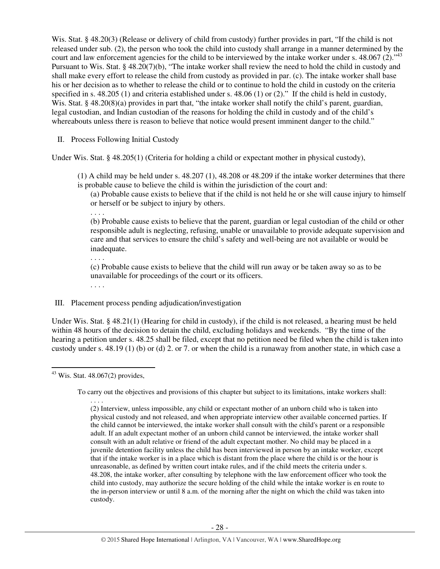Wis. Stat. § 48.20(3) (Release or delivery of child from custody) further provides in part, "If the child is not released under sub. (2), the person who took the child into custody shall arrange in a manner determined by the court and law enforcement agencies for the child to be interviewed by the intake worker under s.  $48.067(2)$ .<sup>43</sup> Pursuant to Wis. Stat. § 48.20(7)(b), "The intake worker shall review the need to hold the child in custody and shall make every effort to release the child from custody as provided in par. (c). The intake worker shall base his or her decision as to whether to release the child or to continue to hold the child in custody on the criteria specified in s. 48.205 (1) and criteria established under s. 48.06 (1) or (2)." If the child is held in custody, Wis. Stat. § 48.20(8)(a) provides in part that, "the intake worker shall notify the child's parent, guardian, legal custodian, and Indian custodian of the reasons for holding the child in custody and of the child's whereabouts unless there is reason to believe that notice would present imminent danger to the child."

II. Process Following Initial Custody

Under Wis. Stat. § 48.205(1) (Criteria for holding a child or expectant mother in physical custody),

(1) A child may be held under s. 48.207 (1), 48.208 or 48.209 if the intake worker determines that there is probable cause to believe the child is within the jurisdiction of the court and:

(a) Probable cause exists to believe that if the child is not held he or she will cause injury to himself or herself or be subject to injury by others.

. . . .

(b) Probable cause exists to believe that the parent, guardian or legal custodian of the child or other responsible adult is neglecting, refusing, unable or unavailable to provide adequate supervision and care and that services to ensure the child's safety and well-being are not available or would be inadequate.

(c) Probable cause exists to believe that the child will run away or be taken away so as to be unavailable for proceedings of the court or its officers.

. . . .

. . . .

# III. Placement process pending adjudication/investigation

Under Wis. Stat. § 48.21(1) (Hearing for child in custody), if the child is not released, a hearing must be held within 48 hours of the decision to detain the child, excluding holidays and weekends. "By the time of the hearing a petition under s. 48.25 shall be filed, except that no petition need be filed when the child is taken into custody under s. 48.19 (1) (b) or (d) 2. or 7. or when the child is a runaway from another state, in which case a

l

 $43$  Wis. Stat. 48.067(2) provides,

To carry out the objectives and provisions of this chapter but subject to its limitations, intake workers shall:

<sup>. . . .</sup>  (2) Interview, unless impossible, any child or expectant mother of an unborn child who is taken into physical custody and not released, and when appropriate interview other available concerned parties. If the child cannot be interviewed, the intake worker shall consult with the child's parent or a responsible adult. If an adult expectant mother of an unborn child cannot be interviewed, the intake worker shall consult with an adult relative or friend of the adult expectant mother. No child may be placed in a juvenile detention facility unless the child has been interviewed in person by an intake worker, except that if the intake worker is in a place which is distant from the place where the child is or the hour is unreasonable, as defined by written court intake rules, and if the child meets the criteria under s. 48.208, the intake worker, after consulting by telephone with the law enforcement officer who took the child into custody, may authorize the secure holding of the child while the intake worker is en route to the in-person interview or until 8 a.m. of the morning after the night on which the child was taken into custody.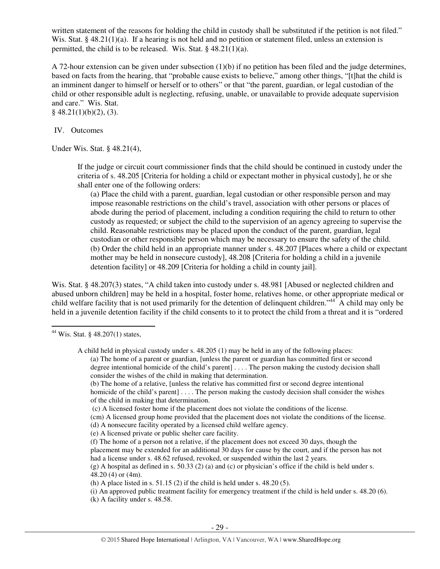written statement of the reasons for holding the child in custody shall be substituted if the petition is not filed." Wis. Stat. §  $48.21(1)(a)$ . If a hearing is not held and no petition or statement filed, unless an extension is permitted, the child is to be released. Wis. Stat. § 48.21(1)(a).

A 72-hour extension can be given under subsection (1)(b) if no petition has been filed and the judge determines, based on facts from the hearing, that "probable cause exists to believe," among other things, "[t]hat the child is an imminent danger to himself or herself or to others" or that "the parent, guardian, or legal custodian of the child or other responsible adult is neglecting, refusing, unable, or unavailable to provide adequate supervision and care." Wis. Stat.  $§$  48.21(1)(b)(2), (3).

IV. Outcomes

Under Wis. Stat. § 48.21(4),

If the judge or circuit court commissioner finds that the child should be continued in custody under the criteria of s. 48.205 [Criteria for holding a child or expectant mother in physical custody], he or she shall enter one of the following orders:

(a) Place the child with a parent, guardian, legal custodian or other responsible person and may impose reasonable restrictions on the child's travel, association with other persons or places of abode during the period of placement, including a condition requiring the child to return to other custody as requested; or subject the child to the supervision of an agency agreeing to supervise the child. Reasonable restrictions may be placed upon the conduct of the parent, guardian, legal custodian or other responsible person which may be necessary to ensure the safety of the child. (b) Order the child held in an appropriate manner under s. 48.207 [Places where a child or expectant mother may be held in nonsecure custody], 48.208 [Criteria for holding a child in a juvenile detention facility] or 48.209 [Criteria for holding a child in county jail].

Wis. Stat. § 48.207(3) states, "A child taken into custody under s. 48.981 [Abused or neglected children and abused unborn children] may be held in a hospital, foster home, relatives home, or other appropriate medical or child welfare facility that is not used primarily for the detention of delinquent children."<sup>44</sup> A child may only be held in a juvenile detention facility if the child consents to it to protect the child from a threat and it is "ordered

l

(b) The home of a relative, [unless the relative has committed first or second degree intentional homicide of the child's parent  $\ldots$ . The person making the custody decision shall consider the wishes of the child in making that determination.

(c) A licensed foster home if the placement does not violate the conditions of the license.

(cm) A licensed group home provided that the placement does not violate the conditions of the license. (d) A nonsecure facility operated by a licensed child welfare agency.

(e) A licensed private or public shelter care facility.

(f) The home of a person not a relative, if the placement does not exceed 30 days, though the placement may be extended for an additional 30 days for cause by the court, and if the person has not had a license under s. 48.62 refused, revoked, or suspended within the last 2 years.

 $(g)$  A hospital as defined in s. 50.33 (2) (a) and (c) or physician's office if the child is held under s. 48.20 (4) or (4m).

(h) A place listed in s.  $51.15$  (2) if the child is held under s.  $48.20$  (5).

(i) An approved public treatment facility for emergency treatment if the child is held under s. 48.20 (6). (k) A facility under s. 48.58.

<sup>44</sup> Wis. Stat. § 48.207(1) states,

A child held in physical custody under s. 48.205 (1) may be held in any of the following places: (a) The home of a parent or guardian, [unless the parent or guardian has committed first or second degree intentional homicide of the child's parent] . . . . The person making the custody decision shall consider the wishes of the child in making that determination.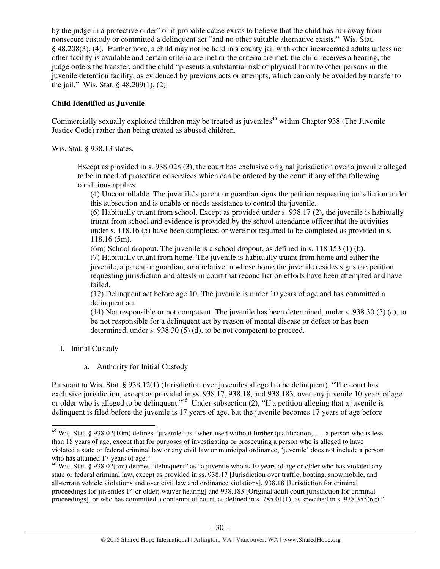by the judge in a protective order" or if probable cause exists to believe that the child has run away from nonsecure custody or committed a delinquent act "and no other suitable alternative exists." Wis. Stat. § 48.208(3), (4). Furthermore, a child may not be held in a county jail with other incarcerated adults unless no other facility is available and certain criteria are met or the criteria are met, the child receives a hearing, the judge orders the transfer, and the child "presents a substantial risk of physical harm to other persons in the juvenile detention facility, as evidenced by previous acts or attempts, which can only be avoided by transfer to the jail." Wis. Stat. § 48.209(1), (2).

# **Child Identified as Juvenile**

Commercially sexually exploited children may be treated as juveniles<sup>45</sup> within Chapter 938 (The Juvenile Justice Code) rather than being treated as abused children.

Wis. Stat. § 938.13 states,

Except as provided in s. 938.028 (3), the court has exclusive original jurisdiction over a juvenile alleged to be in need of protection or services which can be ordered by the court if any of the following conditions applies:

(4) Uncontrollable. The juvenile's parent or guardian signs the petition requesting jurisdiction under this subsection and is unable or needs assistance to control the juvenile.

(6) Habitually truant from school. Except as provided under s. 938.17 (2), the juvenile is habitually truant from school and evidence is provided by the school attendance officer that the activities under s. 118.16 (5) have been completed or were not required to be completed as provided in s. 118.16 (5m).

(6m) School dropout. The juvenile is a school dropout, as defined in s. 118.153 (1) (b).

(7) Habitually truant from home. The juvenile is habitually truant from home and either the juvenile, a parent or guardian, or a relative in whose home the juvenile resides signs the petition requesting jurisdiction and attests in court that reconciliation efforts have been attempted and have failed.

(12) Delinquent act before age 10. The juvenile is under 10 years of age and has committed a delinquent act.

(14) Not responsible or not competent. The juvenile has been determined, under s. 938.30 (5) (c), to be not responsible for a delinquent act by reason of mental disease or defect or has been determined, under s. 938.30 (5) (d), to be not competent to proceed.

I. Initial Custody

 $\overline{a}$ 

a. Authority for Initial Custody

Pursuant to Wis. Stat. § 938.12(1) (Jurisdiction over juveniles alleged to be delinquent), "The court has exclusive jurisdiction, except as provided in ss. 938.17, 938.18, and 938.183, over any juvenile 10 years of age or older who is alleged to be delinquent."<sup>46</sup> Under subsection (2), "If a petition alleging that a juvenile is delinquent is filed before the juvenile is 17 years of age, but the juvenile becomes 17 years of age before

<sup>&</sup>lt;sup>45</sup> Wis. Stat. § 938.02(10m) defines "juvenile" as "when used without further qualification, . . . a person who is less than 18 years of age, except that for purposes of investigating or prosecuting a person who is alleged to have violated a state or federal criminal law or any civil law or municipal ordinance, 'juvenile' does not include a person who has attained 17 years of age."

<sup>&</sup>lt;sup>46</sup> Wis. Stat. § 938.02(3m) defines "delinquent" as "a juvenile who is 10 years of age or older who has violated any state or federal criminal law, except as provided in ss. 938.17 [Jurisdiction over traffic, boating, snowmobile, and all-terrain vehicle violations and over civil law and ordinance violations], 938.18 [Jurisdiction for criminal proceedings for juveniles 14 or older; waiver hearing] and 938.183 [Original adult court jurisdiction for criminal proceedings], or who has committed a contempt of court, as defined in s. 785.01(1), as specified in s. 938.355(6g)."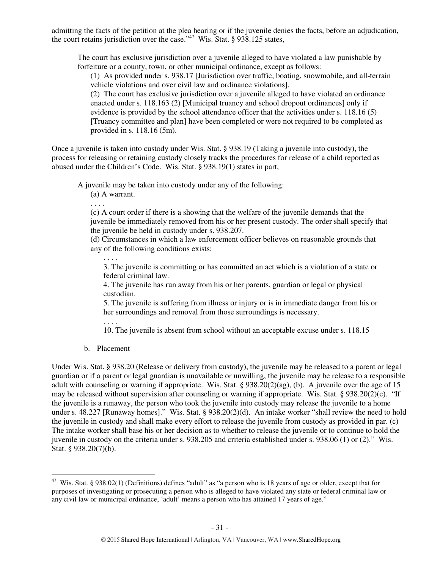admitting the facts of the petition at the plea hearing or if the juvenile denies the facts, before an adjudication, the court retains jurisdiction over the case."<sup>47</sup> Wis. Stat. § 938.125 states,

The court has exclusive jurisdiction over a juvenile alleged to have violated a law punishable by forfeiture or a county, town, or other municipal ordinance, except as follows:

(1) As provided under s. 938.17 [Jurisdiction over traffic, boating, snowmobile, and all-terrain vehicle violations and over civil law and ordinance violations].

(2) The court has exclusive jurisdiction over a juvenile alleged to have violated an ordinance enacted under s. 118.163 (2) [Municipal truancy and school dropout ordinances] only if evidence is provided by the school attendance officer that the activities under s. 118.16 (5) [Truancy committee and plan] have been completed or were not required to be completed as provided in s. 118.16 (5m).

Once a juvenile is taken into custody under Wis. Stat. § 938.19 (Taking a juvenile into custody), the process for releasing or retaining custody closely tracks the procedures for release of a child reported as abused under the Children's Code. Wis. Stat. § 938.19(1) states in part,

A juvenile may be taken into custody under any of the following:

(a) A warrant.

. . . .

(c) A court order if there is a showing that the welfare of the juvenile demands that the juvenile be immediately removed from his or her present custody. The order shall specify that the juvenile be held in custody under s. 938.207.

(d) Circumstances in which a law enforcement officer believes on reasonable grounds that any of the following conditions exists:

3. The juvenile is committing or has committed an act which is a violation of a state or federal criminal law.

4. The juvenile has run away from his or her parents, guardian or legal or physical custodian.

5. The juvenile is suffering from illness or injury or is in immediate danger from his or her surroundings and removal from those surroundings is necessary.

. . . .

. . . .

10. The juvenile is absent from school without an acceptable excuse under s. 118.15

b. Placement

l

Under Wis. Stat. § 938.20 (Release or delivery from custody), the juvenile may be released to a parent or legal guardian or if a parent or legal guardian is unavailable or unwilling, the juvenile may be release to a responsible adult with counseling or warning if appropriate. Wis. Stat. § 938.20(2)(ag), (b). A juvenile over the age of 15 may be released without supervision after counseling or warning if appropriate. Wis. Stat. § 938.20(2)(c). "If the juvenile is a runaway, the person who took the juvenile into custody may release the juvenile to a home under s. 48.227 [Runaway homes]." Wis. Stat. § 938.20(2)(d). An intake worker "shall review the need to hold the juvenile in custody and shall make every effort to release the juvenile from custody as provided in par. (c) The intake worker shall base his or her decision as to whether to release the juvenile or to continue to hold the juvenile in custody on the criteria under s. 938.205 and criteria established under s. 938.06 (1) or (2)." Wis. Stat. § 938.20(7)(b).

<sup>&</sup>lt;sup>47</sup> Wis. Stat. § 938.02(1) (Definitions) defines "adult" as "a person who is 18 years of age or older, except that for purposes of investigating or prosecuting a person who is alleged to have violated any state or federal criminal law or any civil law or municipal ordinance, 'adult' means a person who has attained 17 years of age."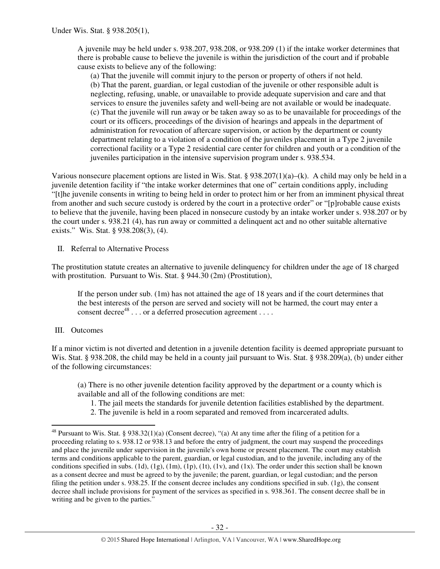A juvenile may be held under s. 938.207, 938.208, or 938.209 (1) if the intake worker determines that there is probable cause to believe the juvenile is within the jurisdiction of the court and if probable cause exists to believe any of the following:

(a) That the juvenile will commit injury to the person or property of others if not held. (b) That the parent, guardian, or legal custodian of the juvenile or other responsible adult is neglecting, refusing, unable, or unavailable to provide adequate supervision and care and that services to ensure the juveniles safety and well-being are not available or would be inadequate. (c) That the juvenile will run away or be taken away so as to be unavailable for proceedings of the court or its officers, proceedings of the division of hearings and appeals in the department of administration for revocation of aftercare supervision, or action by the department or county department relating to a violation of a condition of the juveniles placement in a Type 2 juvenile correctional facility or a Type 2 residential care center for children and youth or a condition of the juveniles participation in the intensive supervision program under s. 938.534.

Various nonsecure placement options are listed in Wis. Stat. §  $938.207(1)(a)–(k)$ . A child may only be held in a juvenile detention facility if "the intake worker determines that one of" certain conditions apply, including "[t]he juvenile consents in writing to being held in order to protect him or her from an imminent physical threat from another and such secure custody is ordered by the court in a protective order" or "[p]robable cause exists to believe that the juvenile, having been placed in nonsecure custody by an intake worker under s. 938.207 or by the court under s. 938.21 (4), has run away or committed a delinquent act and no other suitable alternative exists." Wis. Stat. § 938.208(3), (4).

II. Referral to Alternative Process

The prostitution statute creates an alternative to juvenile delinquency for children under the age of 18 charged with prostitution. Pursuant to Wis. Stat. § 944.30 (2m) (Prostitution),

If the person under sub. (1m) has not attained the age of 18 years and if the court determines that the best interests of the person are served and society will not be harmed, the court may enter a consent decree<sup>48</sup> . . . or a deferred prosecution agreement . . . .

## III. Outcomes

 $\overline{a}$ 

If a minor victim is not diverted and detention in a juvenile detention facility is deemed appropriate pursuant to Wis. Stat. § 938.208, the child may be held in a county jail pursuant to Wis. Stat. § 938.209(a), (b) under either of the following circumstances:

(a) There is no other juvenile detention facility approved by the department or a county which is available and all of the following conditions are met:

- 1. The jail meets the standards for juvenile detention facilities established by the department.
- 2. The juvenile is held in a room separated and removed from incarcerated adults.

 $48$  Pursuant to Wis. Stat. § 938.32(1)(a) (Consent decree), "(a) At any time after the filing of a petition for a proceeding relating to s. 938.12 or 938.13 and before the entry of judgment, the court may suspend the proceedings and place the juvenile under supervision in the juvenile's own home or present placement. The court may establish terms and conditions applicable to the parent, guardian, or legal custodian, and to the juvenile, including any of the conditions specified in subs. (1d), (1g), (1m), (1p), (1t), (1v), and (1x). The order under this section shall be known as a consent decree and must be agreed to by the juvenile; the parent, guardian, or legal custodian; and the person filing the petition under s. 938.25. If the consent decree includes any conditions specified in sub. (1g), the consent decree shall include provisions for payment of the services as specified in s. 938.361. The consent decree shall be in writing and be given to the parties."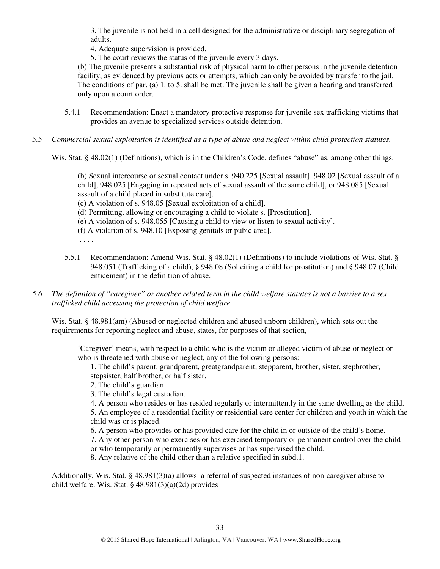3. The juvenile is not held in a cell designed for the administrative or disciplinary segregation of adults.

4. Adequate supervision is provided.

5. The court reviews the status of the juvenile every 3 days.

(b) The juvenile presents a substantial risk of physical harm to other persons in the juvenile detention facility, as evidenced by previous acts or attempts, which can only be avoided by transfer to the jail. The conditions of par. (a) 1. to 5. shall be met. The juvenile shall be given a hearing and transferred only upon a court order.

- 5.4.1 Recommendation: Enact a mandatory protective response for juvenile sex trafficking victims that provides an avenue to specialized services outside detention.
- *5.5 Commercial sexual exploitation is identified as a type of abuse and neglect within child protection statutes.*

Wis. Stat. § 48.02(1) (Definitions), which is in the Children's Code, defines "abuse" as, among other things,

(b) Sexual intercourse or sexual contact under s. 940.225 [Sexual assault], 948.02 [Sexual assault of a child], 948.025 [Engaging in repeated acts of sexual assault of the same child], or 948.085 [Sexual assault of a child placed in substitute care].

(c) A violation of s. 948.05 [Sexual exploitation of a child].

- (d) Permitting, allowing or encouraging a child to violate s. [Prostitution].
- (e) A violation of s. 948.055 [Causing a child to view or listen to sexual activity].
- (f) A violation of s. 948.10 [Exposing genitals or pubic area].
- . . . .
- 5.5.1 Recommendation: Amend Wis. Stat. § 48.02(1) (Definitions) to include violations of Wis. Stat. § 948.051 (Trafficking of a child), § 948.08 (Soliciting a child for prostitution) and § 948.07 (Child enticement) in the definition of abuse.
- *5.6 The definition of "caregiver" or another related term in the child welfare statutes is not a barrier to a sex trafficked child accessing the protection of child welfare.*

Wis. Stat. § 48.981(am) (Abused or neglected children and abused unborn children), which sets out the requirements for reporting neglect and abuse, states, for purposes of that section,

'Caregiver' means, with respect to a child who is the victim or alleged victim of abuse or neglect or who is threatened with abuse or neglect, any of the following persons:

1. The child's parent, grandparent, greatgrandparent, stepparent, brother, sister, stepbrother, stepsister, half brother, or half sister.

- 2. The child's guardian.
- 3. The child's legal custodian.
- 4. A person who resides or has resided regularly or intermittently in the same dwelling as the child.

5. An employee of a residential facility or residential care center for children and youth in which the child was or is placed.

6. A person who provides or has provided care for the child in or outside of the child's home.

7. Any other person who exercises or has exercised temporary or permanent control over the child

or who temporarily or permanently supervises or has supervised the child.

8. Any relative of the child other than a relative specified in subd.1.

Additionally, Wis. Stat. § 48.981(3)(a) allows a referral of suspected instances of non-caregiver abuse to child welfare. Wis. Stat. §  $48.981(3)(a)(2d)$  provides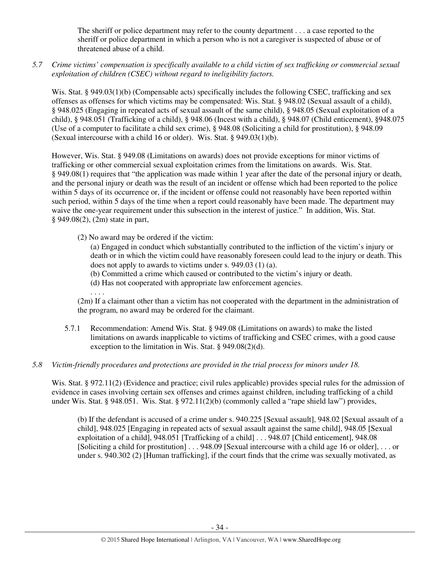The sheriff or police department may refer to the county department . . . a case reported to the sheriff or police department in which a person who is not a caregiver is suspected of abuse or of threatened abuse of a child.

*5.7 Crime victims' compensation is specifically available to a child victim of sex trafficking or commercial sexual exploitation of children (CSEC) without regard to ineligibility factors.* 

Wis. Stat. § 949.03(1)(b) (Compensable acts) specifically includes the following CSEC, trafficking and sex offenses as offenses for which victims may be compensated: Wis. Stat. § 948.02 (Sexual assault of a child), § 948.025 (Engaging in repeated acts of sexual assault of the same child), § 948.05 (Sexual exploitation of a child), § 948.051 (Trafficking of a child), § 948.06 (Incest with a child), § 948.07 (Child enticement), §948.075 (Use of a computer to facilitate a child sex crime), § 948.08 (Soliciting a child for prostitution), § 948.09 (Sexual intercourse with a child 16 or older). Wis. Stat. § 949.03(1)(b).

However, Wis. Stat. § 949.08 (Limitations on awards) does not provide exceptions for minor victims of trafficking or other commercial sexual exploitation crimes from the limitations on awards. Wis. Stat. § 949.08(1) requires that "the application was made within 1 year after the date of the personal injury or death, and the personal injury or death was the result of an incident or offense which had been reported to the police within 5 days of its occurrence or, if the incident or offense could not reasonably have been reported within such period, within 5 days of the time when a report could reasonably have been made. The department may waive the one-year requirement under this subsection in the interest of justice." In addition, Wis. Stat. § 949.08(2), (2m) state in part,

(2) No award may be ordered if the victim:

(a) Engaged in conduct which substantially contributed to the infliction of the victim's injury or death or in which the victim could have reasonably foreseen could lead to the injury or death. This does not apply to awards to victims under s. 949.03 (1) (a).

(b) Committed a crime which caused or contributed to the victim's injury or death.

- (d) Has not cooperated with appropriate law enforcement agencies.
- . . . .

(2m) If a claimant other than a victim has not cooperated with the department in the administration of the program, no award may be ordered for the claimant.

5.7.1 Recommendation: Amend Wis. Stat. § 949.08 (Limitations on awards) to make the listed limitations on awards inapplicable to victims of trafficking and CSEC crimes, with a good cause exception to the limitation in Wis. Stat. § 949.08(2)(d).

# *5.8 Victim-friendly procedures and protections are provided in the trial process for minors under 18.*

Wis. Stat. § 972.11(2) (Evidence and practice; civil rules applicable) provides special rules for the admission of evidence in cases involving certain sex offenses and crimes against children, including trafficking of a child under Wis. Stat. § 948.051. Wis. Stat. § 972.11(2)(b) (commonly called a "rape shield law") provides,

(b) If the defendant is accused of a crime under s. 940.225 [Sexual assault], 948.02 [Sexual assault of a child], 948.025 [Engaging in repeated acts of sexual assault against the same child], 948.05 [Sexual exploitation of a child], 948.051 [Trafficking of a child] . . . 948.07 [Child enticement], 948.08 [Soliciting a child for prostitution] . . . 948.09 [Sexual intercourse with a child age 16 or older], . . . or under s. 940.302 (2) [Human trafficking], if the court finds that the crime was sexually motivated, as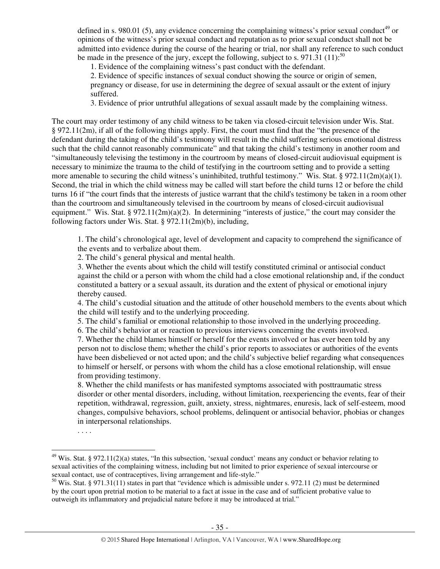defined in s. 980.01 (5), any evidence concerning the complaining witness's prior sexual conduct<sup>49</sup> or opinions of the witness's prior sexual conduct and reputation as to prior sexual conduct shall not be admitted into evidence during the course of the hearing or trial, nor shall any reference to such conduct be made in the presence of the jury, except the following, subject to s. 971.31 (11):<sup>50</sup>

1. Evidence of the complaining witness's past conduct with the defendant.

2. Evidence of specific instances of sexual conduct showing the source or origin of semen, pregnancy or disease, for use in determining the degree of sexual assault or the extent of injury suffered.

3. Evidence of prior untruthful allegations of sexual assault made by the complaining witness.

The court may order testimony of any child witness to be taken via closed-circuit television under Wis. Stat. § 972.11(2m), if all of the following things apply. First, the court must find that the "the presence of the defendant during the taking of the child's testimony will result in the child suffering serious emotional distress such that the child cannot reasonably communicate" and that taking the child's testimony in another room and "simultaneously televising the testimony in the courtroom by means of closed-circuit audiovisual equipment is necessary to minimize the trauma to the child of testifying in the courtroom setting and to provide a setting more amenable to securing the child witness's uninhibited, truthful testimony." Wis. Stat. § 972.11(2m)(a)(1). Second, the trial in which the child witness may be called will start before the child turns 12 or before the child turns 16 if "the court finds that the interests of justice warrant that the child's testimony be taken in a room other than the courtroom and simultaneously televised in the courtroom by means of closed-circuit audiovisual equipment." Wis. Stat. § 972.11(2m)(a)(2). In determining "interests of justice," the court may consider the following factors under Wis. Stat. § 972.11(2m)(b), including,

1. The child's chronological age, level of development and capacity to comprehend the significance of the events and to verbalize about them.

2. The child's general physical and mental health.

3. Whether the events about which the child will testify constituted criminal or antisocial conduct against the child or a person with whom the child had a close emotional relationship and, if the conduct constituted a battery or a sexual assault, its duration and the extent of physical or emotional injury thereby caused.

4. The child's custodial situation and the attitude of other household members to the events about which the child will testify and to the underlying proceeding.

5. The child's familial or emotional relationship to those involved in the underlying proceeding.

6. The child's behavior at or reaction to previous interviews concerning the events involved.

7. Whether the child blames himself or herself for the events involved or has ever been told by any person not to disclose them; whether the child's prior reports to associates or authorities of the events have been disbelieved or not acted upon; and the child's subjective belief regarding what consequences to himself or herself, or persons with whom the child has a close emotional relationship, will ensue from providing testimony.

8. Whether the child manifests or has manifested symptoms associated with posttraumatic stress disorder or other mental disorders, including, without limitation, reexperiencing the events, fear of their repetition, withdrawal, regression, guilt, anxiety, stress, nightmares, enuresis, lack of self-esteem, mood changes, compulsive behaviors, school problems, delinquent or antisocial behavior, phobias or changes in interpersonal relationships.

. . . .

 $\overline{a}$ 

 $49$  Wis. Stat. § 972.11(2)(a) states, "In this subsection, 'sexual conduct' means any conduct or behavior relating to sexual activities of the complaining witness, including but not limited to prior experience of sexual intercourse or sexual contact, use of contraceptives, living arrangement and life-style."

<sup>50</sup> Wis. Stat. § 971.31(11) states in part that "evidence which is admissible under s. 972.11 (2) must be determined by the court upon pretrial motion to be material to a fact at issue in the case and of sufficient probative value to outweigh its inflammatory and prejudicial nature before it may be introduced at trial."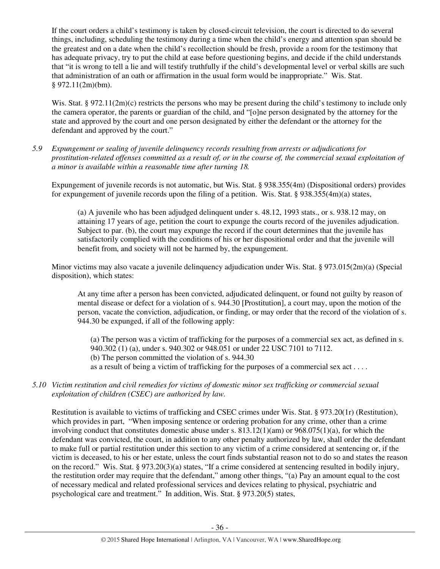If the court orders a child's testimony is taken by closed-circuit television, the court is directed to do several things, including, scheduling the testimony during a time when the child's energy and attention span should be the greatest and on a date when the child's recollection should be fresh, provide a room for the testimony that has adequate privacy, try to put the child at ease before questioning begins, and decide if the child understands that "it is wrong to tell a lie and will testify truthfully if the child's developmental level or verbal skills are such that administration of an oath or affirmation in the usual form would be inappropriate." Wis. Stat.  $§$  972.11(2m)(bm).

Wis. Stat. § 972.11(2m)(c) restricts the persons who may be present during the child's testimony to include only the camera operator, the parents or guardian of the child, and "[o]ne person designated by the attorney for the state and approved by the court and one person designated by either the defendant or the attorney for the defendant and approved by the court."

*5.9 Expungement or sealing of juvenile delinquency records resulting from arrests or adjudications for prostitution-related offenses committed as a result of, or in the course of, the commercial sexual exploitation of a minor is available within a reasonable time after turning 18.* 

Expungement of juvenile records is not automatic, but Wis. Stat. § 938.355(4m) (Dispositional orders) provides for expungement of juvenile records upon the filing of a petition. Wis. Stat. § 938.355(4m)(a) states,

(a) A juvenile who has been adjudged delinquent under s. 48.12, 1993 stats., or s. 938.12 may, on attaining 17 years of age, petition the court to expunge the courts record of the juveniles adjudication. Subject to par. (b), the court may expunge the record if the court determines that the juvenile has satisfactorily complied with the conditions of his or her dispositional order and that the juvenile will benefit from, and society will not be harmed by, the expungement.

Minor victims may also vacate a juvenile delinquency adjudication under Wis. Stat. § 973.015(2m)(a) (Special disposition), which states:

At any time after a person has been convicted, adjudicated delinquent, or found not guilty by reason of mental disease or defect for a violation of s. 944.30 [Prostitution], a court may, upon the motion of the person, vacate the conviction, adjudication, or finding, or may order that the record of the violation of s. 944.30 be expunged, if all of the following apply:

(a) The person was a victim of trafficking for the purposes of a commercial sex act, as defined in s. 940.302 (1) (a), under s. 940.302 or 948.051 or under 22 USC 7101 to 7112. (b) The person committed the violation of s. 944.30 as a result of being a victim of trafficking for the purposes of a commercial sex act . . . .

*5.10 Victim restitution and civil remedies for victims of domestic minor sex trafficking or commercial sexual exploitation of children (CSEC) are authorized by law.* 

Restitution is available to victims of trafficking and CSEC crimes under Wis. Stat. § 973.20(1r) (Restitution), which provides in part, "When imposing sentence or ordering probation for any crime, other than a crime involving conduct that constitutes domestic abuse under s.  $813.12(1)(am)$  or  $968.075(1)(a)$ , for which the defendant was convicted, the court, in addition to any other penalty authorized by law, shall order the defendant to make full or partial restitution under this section to any victim of a crime considered at sentencing or, if the victim is deceased, to his or her estate, unless the court finds substantial reason not to do so and states the reason on the record." Wis. Stat. § 973.20(3)(a) states, "If a crime considered at sentencing resulted in bodily injury, the restitution order may require that the defendant," among other things, "(a) Pay an amount equal to the cost of necessary medical and related professional services and devices relating to physical, psychiatric and psychological care and treatment." In addition, Wis. Stat. § 973.20(5) states,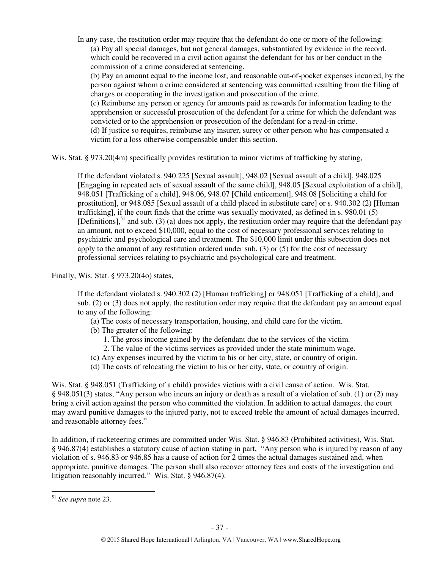In any case, the restitution order may require that the defendant do one or more of the following: (a) Pay all special damages, but not general damages, substantiated by evidence in the record, which could be recovered in a civil action against the defendant for his or her conduct in the commission of a crime considered at sentencing.

(b) Pay an amount equal to the income lost, and reasonable out-of-pocket expenses incurred, by the person against whom a crime considered at sentencing was committed resulting from the filing of charges or cooperating in the investigation and prosecution of the crime.

(c) Reimburse any person or agency for amounts paid as rewards for information leading to the apprehension or successful prosecution of the defendant for a crime for which the defendant was convicted or to the apprehension or prosecution of the defendant for a read-in crime.

(d) If justice so requires, reimburse any insurer, surety or other person who has compensated a victim for a loss otherwise compensable under this section.

Wis. Stat. § 973.20(4m) specifically provides restitution to minor victims of trafficking by stating,

If the defendant violated s. 940.225 [Sexual assault], 948.02 [Sexual assault of a child], 948.025 [Engaging in repeated acts of sexual assault of the same child], 948.05 [Sexual exploitation of a child], 948.051 [Trafficking of a child], 948.06, 948.07 [Child enticement], 948.08 [Soliciting a child for prostitution], or 948.085 [Sexual assault of a child placed in substitute care] or s. 940.302 (2) [Human trafficking], if the court finds that the crime was sexually motivated, as defined in s. 980.01 (5) [Definitions],<sup>51</sup> and sub. (3) (a) does not apply, the restitution order may require that the defendant pay an amount, not to exceed \$10,000, equal to the cost of necessary professional services relating to psychiatric and psychological care and treatment. The \$10,000 limit under this subsection does not apply to the amount of any restitution ordered under sub.  $(3)$  or  $(5)$  for the cost of necessary professional services relating to psychiatric and psychological care and treatment.

Finally, Wis. Stat. § 973.20(4o) states,

If the defendant violated s. 940.302 (2) [Human trafficking] or 948.051 [Trafficking of a child], and sub. (2) or (3) does not apply, the restitution order may require that the defendant pay an amount equal to any of the following:

- (a) The costs of necessary transportation, housing, and child care for the victim.
- (b) The greater of the following:
	- 1. The gross income gained by the defendant due to the services of the victim.
	- 2. The value of the victims services as provided under the state minimum wage.
- (c) Any expenses incurred by the victim to his or her city, state, or country of origin.
- (d) The costs of relocating the victim to his or her city, state, or country of origin.

Wis. Stat. § 948.051 (Trafficking of a child) provides victims with a civil cause of action. Wis. Stat. § 948.051(3) states, "Any person who incurs an injury or death as a result of a violation of sub. (1) or (2) may bring a civil action against the person who committed the violation. In addition to actual damages, the court may award punitive damages to the injured party, not to exceed treble the amount of actual damages incurred, and reasonable attorney fees."

In addition, if racketeering crimes are committed under Wis. Stat. § 946.83 (Prohibited activities), Wis. Stat. § 946.87(4) establishes a statutory cause of action stating in part, "Any person who is injured by reason of any violation of s. 946.83 or 946.85 has a cause of action for 2 times the actual damages sustained and, when appropriate, punitive damages. The person shall also recover attorney fees and costs of the investigation and litigation reasonably incurred." Wis. Stat. § 946.87(4).

l

<sup>51</sup> *See supra* note 23.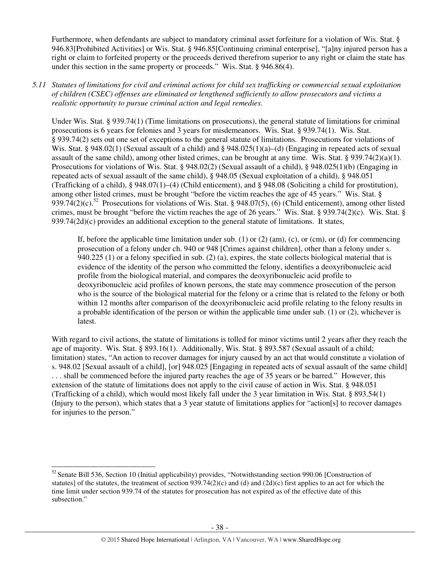Furthermore, when defendants are subject to mandatory criminal asset for feiture for a violation of Wis. Stat. § 946.83[Prohibited Activities] or Wis. Stat. § 946.85[Continuing criminal enterprise], "[a]ny injured person has a right or claim to forfeited property or the proceeds derived therefrom superior to any right or claim the state has under this section in the same property or proceeds." Wis. Stat. § 946.86(4).

*5.11 Statutes of limitations for civil and criminal actions for child sex trafficking or commercial sexual exploitation of children (CSEC) offenses are eliminated or lengthened sufficiently to allow prosecutors and victims a realistic opportunity to pursue criminal action and legal remedies.* 

Under Wis. Stat. § 939.74(1) (Time limitations on prosecutions), the general statute of limitations for criminal prosecutions is 6 years for felonies and 3 years for misdemeanors. Wis. Stat. § 939.74(1). Wis. Stat. § 939.74(2) sets out one set of exceptions to the general statute of limitations. Prosecutions for violations of Wis. Stat. § 948.02(1) (Sexual assault of a child) and § 948.025(1)(a)–(d) (Engaging in repeated acts of sexual assault of the same child), among other listed crimes, can be brought at any time. Wis. Stat. §  $939.74(2)(a)(1)$ . Prosecutions for violations of Wis. Stat. § 948.02(2) (Sexual assault of a child), § 948.025(1)(b) (Engaging in repeated acts of sexual assault of the same child), § 948.05 (Sexual exploitation of a child), § 948.051 (Trafficking of a child), § 948.07(1)–(4) (Child enticement), and § 948.08 (Soliciting a child for prostitution), among other listed crimes, must be brought "before the victim reaches the age of 45 years." Wis. Stat. § 939.74(2)(c).<sup>52</sup> Prosecutions for violations of Wis. Stat. § 948.07(5), (6) (Child enticement), among other listed crimes, must be brought "before the victim reaches the age of 26 years." Wis. Stat. § 939.74(2)(c). Wis. Stat. § 939.74(2d)(c) provides an additional exception to the general statute of limitations. It states,

If, before the applicable time limitation under sub. (1) or (2) (am), (c), or (cm), or (d) for commencing prosecution of a felony under ch. 940 or 948 [Crimes against children], other than a felony under s. 940.225 (1) or a felony specified in sub. (2) (a), expires, the state collects biological material that is evidence of the identity of the person who committed the felony, identifies a deoxyribonucleic acid profile from the biological material, and compares the deoxyribonucleic acid profile to deoxyribonucleic acid profiles of known persons, the state may commence prosecution of the person who is the source of the biological material for the felony or a crime that is related to the felony or both within 12 months after comparison of the deoxyribonucleic acid profile relating to the felony results in a probable identification of the person or within the applicable time under sub. (1) or (2), whichever is latest.

With regard to civil actions, the statute of limitations is tolled for minor victims until 2 years after they reach the age of majority. Wis. Stat. § 893.16(1). Additionally, Wis. Stat. § 893.587 (Sexual assault of a child; limitation) states, "An action to recover damages for injury caused by an act that would constitute a violation of s. 948.02 [Sexual assault of a child], [or] 948.025 [Engaging in repeated acts of sexual assault of the same child] . . . shall be commenced before the injured party reaches the age of 35 years or be barred." However, this extension of the statute of limitations does not apply to the civil cause of action in Wis. Stat. § 948.051 (Trafficking of a child), which would most likely fall under the 3 year limitation in Wis. Stat. § 893.54(1) (Injury to the person), which states that a 3 year statute of limitations applies for "action[s] to recover damages for injuries to the person."

l

<sup>&</sup>lt;sup>52</sup> Senate Bill 536, Section 10 (Initial applicability) provides, "Notwithstanding section 990.06 [Construction of statutes] of the statutes, the treatment of section  $939.74(2)(c)$  and (d) and  $(2d)(c)$  first applies to an act for which the time limit under section 939.74 of the statutes for prosecution has not expired as of the effective date of this subsection."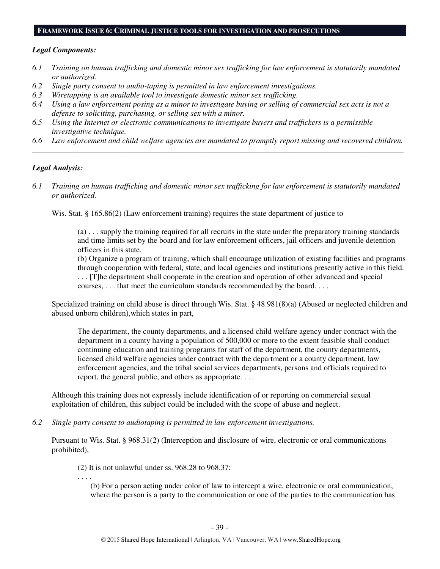#### **FRAMEWORK ISSUE 6: CRIMINAL JUSTICE TOOLS FOR INVESTIGATION AND PROSECUTIONS**

## *Legal Components:*

- *6.1 Training on human trafficking and domestic minor sex trafficking for law enforcement is statutorily mandated or authorized.*
- *6.2 Single party consent to audio-taping is permitted in law enforcement investigations.*
- *6.3 Wiretapping is an available tool to investigate domestic minor sex trafficking.*
- *6.4 Using a law enforcement posing as a minor to investigate buying or selling of commercial sex acts is not a defense to soliciting, purchasing, or selling sex with a minor.*
- *6.5 Using the Internet or electronic communications to investigate buyers and traffickers is a permissible investigative technique.*
- *6.6 Law enforcement and child welfare agencies are mandated to promptly report missing and recovered children. \_\_\_\_\_\_\_\_\_\_\_\_\_\_\_\_\_\_\_\_\_\_\_\_\_\_\_\_\_\_\_\_\_\_\_\_\_\_\_\_\_\_\_\_\_\_\_\_\_\_\_\_\_\_\_\_\_\_\_\_\_\_\_\_\_\_\_\_\_\_\_\_\_\_\_\_\_\_\_\_\_\_\_\_\_\_\_\_\_\_\_\_\_\_*

## *Legal Analysis:*

*6.1 Training on human trafficking and domestic minor sex trafficking for law enforcement is statutorily mandated or authorized.* 

Wis. Stat. § 165.86(2) (Law enforcement training) requires the state department of justice to

(a) . . . supply the training required for all recruits in the state under the preparatory training standards and time limits set by the board and for law enforcement officers, jail officers and juvenile detention officers in this state.

(b) Organize a program of training, which shall encourage utilization of existing facilities and programs through cooperation with federal, state, and local agencies and institutions presently active in this field. . . . [T]he department shall cooperate in the creation and operation of other advanced and special courses, . . . that meet the curriculum standards recommended by the board. . . .

Specialized training on child abuse is direct through Wis. Stat. § 48.981(8)(a) (Abused or neglected children and abused unborn children),which states in part,

The department, the county departments, and a licensed child welfare agency under contract with the department in a county having a population of 500,000 or more to the extent feasible shall conduct continuing education and training programs for staff of the department, the county departments, licensed child welfare agencies under contract with the department or a county department, law enforcement agencies, and the tribal social services departments, persons and officials required to report, the general public, and others as appropriate. . . .

Although this training does not expressly include identification of or reporting on commercial sexual exploitation of children, this subject could be included with the scope of abuse and neglect.

*6.2 Single party consent to audiotaping is permitted in law enforcement investigations.* 

Pursuant to Wis. Stat. § 968.31(2) (Interception and disclosure of wire, electronic or oral communications prohibited),

(2) It is not unlawful under ss. 968.28 to 968.37:

. . . .

(b) For a person acting under color of law to intercept a wire, electronic or oral communication, where the person is a party to the communication or one of the parties to the communication has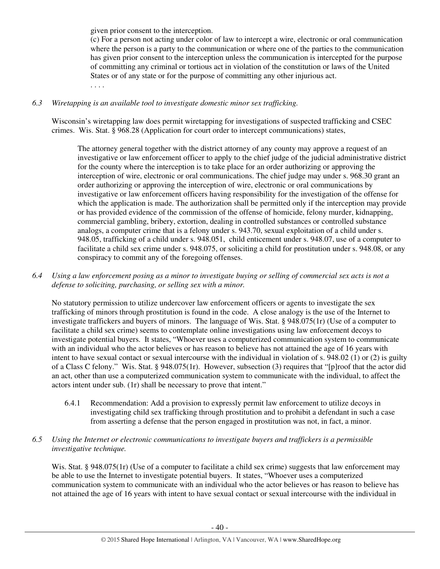given prior consent to the interception.

(c) For a person not acting under color of law to intercept a wire, electronic or oral communication where the person is a party to the communication or where one of the parties to the communication has given prior consent to the interception unless the communication is intercepted for the purpose of committing any criminal or tortious act in violation of the constitution or laws of the United States or of any state or for the purpose of committing any other injurious act. . . . .

# *6.3 Wiretapping is an available tool to investigate domestic minor sex trafficking.*

Wisconsin's wiretapping law does permit wiretapping for investigations of suspected trafficking and CSEC crimes. Wis. Stat. § 968.28 (Application for court order to intercept communications) states,

The attorney general together with the district attorney of any county may approve a request of an investigative or law enforcement officer to apply to the chief judge of the judicial administrative district for the county where the interception is to take place for an order authorizing or approving the interception of wire, electronic or oral communications. The chief judge may under s. 968.30 grant an order authorizing or approving the interception of wire, electronic or oral communications by investigative or law enforcement officers having responsibility for the investigation of the offense for which the application is made. The authorization shall be permitted only if the interception may provide or has provided evidence of the commission of the offense of homicide, felony murder, kidnapping, commercial gambling, bribery, extortion, dealing in controlled substances or controlled substance analogs, a computer crime that is a felony under s. 943.70, sexual exploitation of a child under s. 948.05, trafficking of a child under s. 948.051, child enticement under s. 948.07, use of a computer to facilitate a child sex crime under s. 948.075, or soliciting a child for prostitution under s. 948.08, or any conspiracy to commit any of the foregoing offenses.

*6.4 Using a law enforcement posing as a minor to investigate buying or selling of commercial sex acts is not a defense to soliciting, purchasing, or selling sex with a minor.* 

No statutory permission to utilize undercover law enforcement officers or agents to investigate the sex trafficking of minors through prostitution is found in the code. A close analogy is the use of the Internet to investigate traffickers and buyers of minors. The language of Wis. Stat. § 948.075(1r) (Use of a computer to facilitate a child sex crime) seems to contemplate online investigations using law enforcement decoys to investigate potential buyers. It states, "Whoever uses a computerized communication system to communicate with an individual who the actor believes or has reason to believe has not attained the age of 16 years with intent to have sexual contact or sexual intercourse with the individual in violation of s. 948.02 (1) or (2) is guilty of a Class C felony." Wis. Stat. § 948.075(1r). However, subsection (3) requires that "[p]roof that the actor did an act, other than use a computerized communication system to communicate with the individual, to affect the actors intent under sub. (1r) shall be necessary to prove that intent."

6.4.1 Recommendation: Add a provision to expressly permit law enforcement to utilize decoys in investigating child sex trafficking through prostitution and to prohibit a defendant in such a case from asserting a defense that the person engaged in prostitution was not, in fact, a minor.

# *6.5 Using the Internet or electronic communications to investigate buyers and traffickers is a permissible investigative technique.*

Wis. Stat. § 948.075(1r) (Use of a computer to facilitate a child sex crime) suggests that law enforcement may be able to use the Internet to investigate potential buyers. It states, "Whoever uses a computerized communication system to communicate with an individual who the actor believes or has reason to believe has not attained the age of 16 years with intent to have sexual contact or sexual intercourse with the individual in